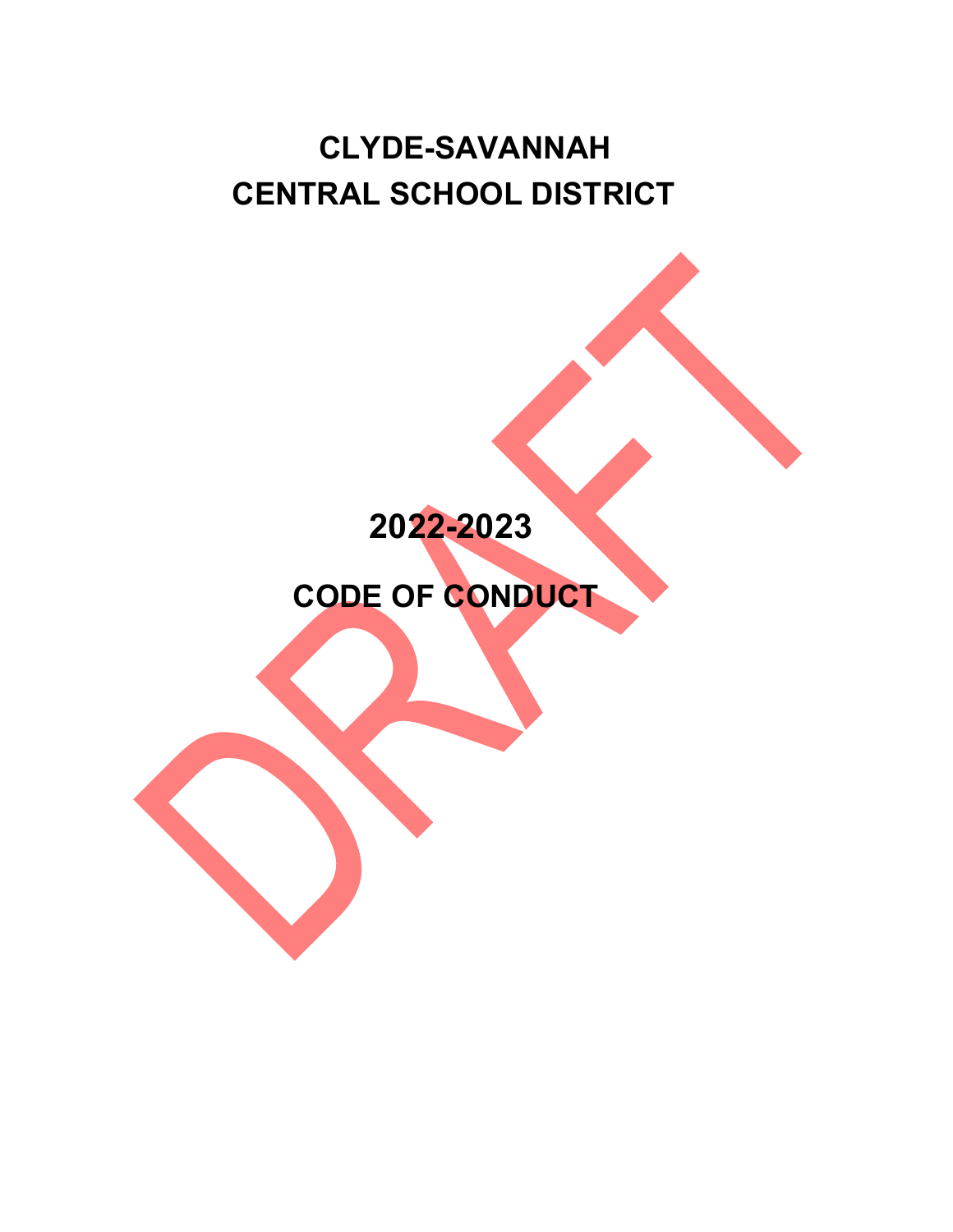# **CLYDE-SAVANNAH CENTRAL SCHOOL DISTRICT**

# **2022-2023**

 **CODE OF CONDUCT**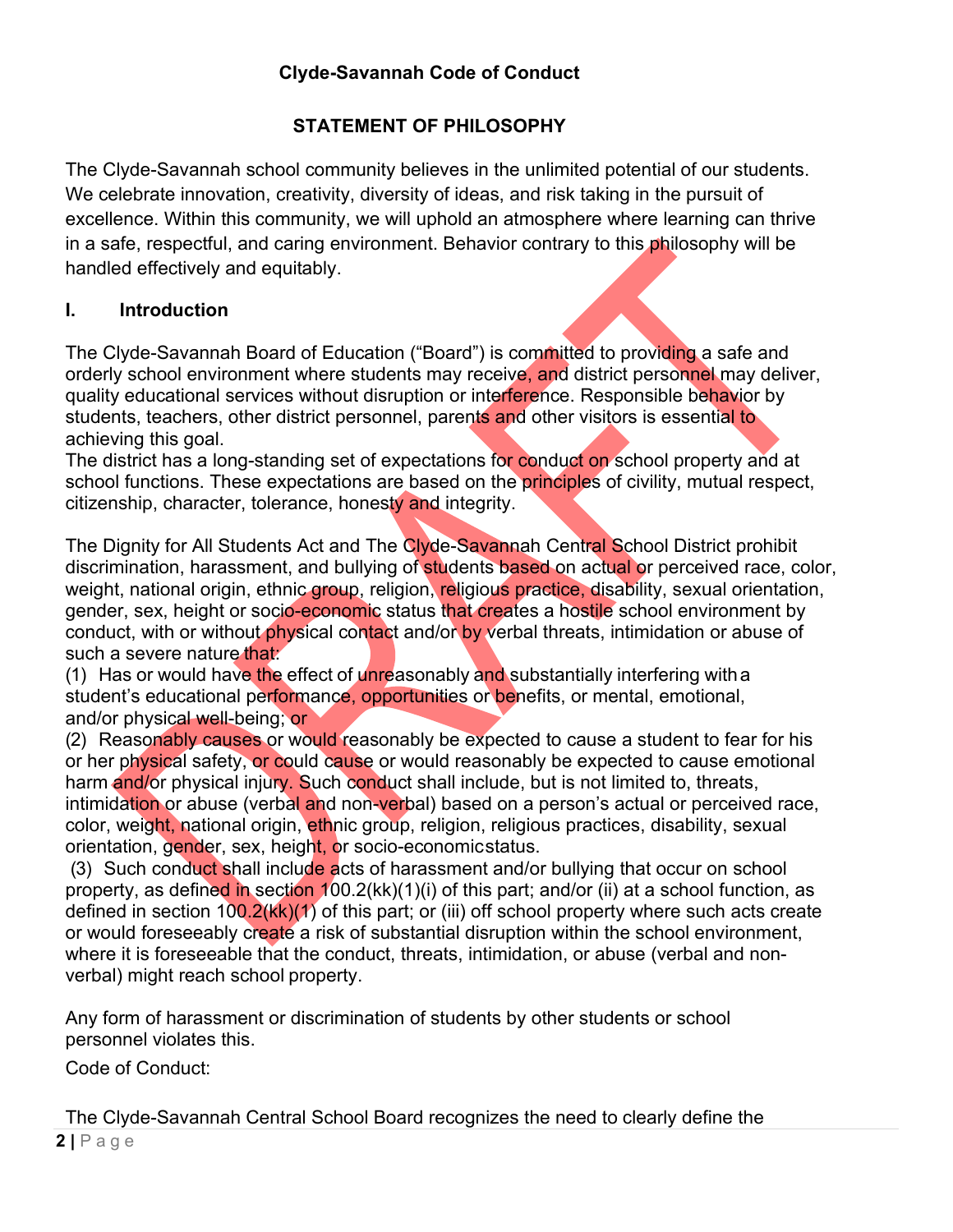# **STATEMENT OF PHILOSOPHY**

The Clyde-Savannah school community believes in the unlimited potential of our students. We celebrate innovation, creativity, diversity of ideas, and risk taking in the pursuit of excellence. Within this community, we will uphold an atmosphere where learning can thrive in a safe, respectful, and caring environment. Behavior contrary to this philosophy will be handled effectively and equitably.

## **I. Introduction**

The Clyde-Savannah Board of Education ("Board") is committed to providing a safe and orderly school environment where students may receive, and district personnel may deliver, quality educational services without disruption or interference. Responsible behavior by students, teachers, other district personnel, parents and other visitors is essential to achieving this goal.

The district has a long-standing set of expectations for conduct on school property and at school functions. These expectations are based on the principles of civility, mutual respect, citizenship, character, tolerance, honesty and integrity.

The Dignity for All Students Act and The Clyde-Savannah Central School District prohibit discrimination, harassment, and bullying of students based on actual or perceived race, color, weight, national origin, ethnic group, religion, religious practice, disability, sexual orientation, gender, sex, height or socio-economic status that creates a hostile school environment by conduct, with or without physical contact and/or by verbal threats, intimidation or abuse of such a severe nature that:

(1) Has or would have the effect of unreasonably and substantially interfering with a student's educational performance, opportunities or benefits, or mental, emotional, and/or physical well-being; or

(2) Reasonably causes or would reasonably be expected to cause a student to fear for his or her physical safety, or could cause or would reasonably be expected to cause emotional harm and/or physical injury. Such conduct shall include, but is not limited to, threats, intimidation or abuse (verbal and non-verbal) based on a person's actual or perceived race, color, weight, national origin, ethnic group, religion, religious practices, disability, sexual orientation, gender, sex, height, or socio-economicstatus.

(3) Such conduct shall include acts of harassment and/or bullying that occur on school property, as defined in section 100.2(kk)(1)(i) of this part; and/or (ii) at a school function, as defined in section  $100.2(kk)(1)$  of this part; or (iii) off school property where such acts create or would foreseeably create a risk of substantial disruption within the school environment, where it is foreseeable that the conduct, threats, intimidation, or abuse (verbal and nonverbal) might reach school property.

Any form of harassment or discrimination of students by other students or school personnel violates this.

Code of Conduct:

 $2|$   $P$  age The Clyde-Savannah Central School Board recognizes the need to clearly define the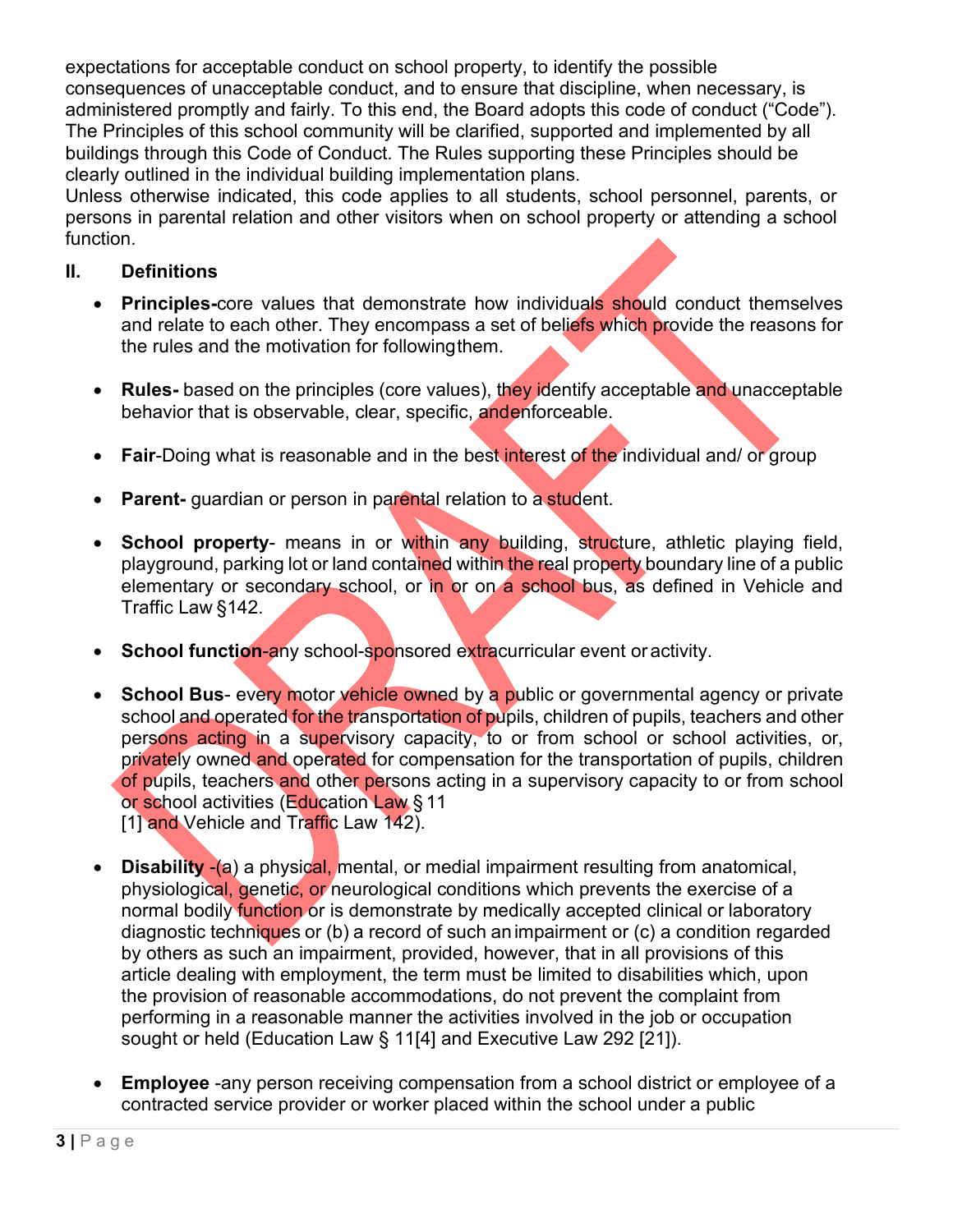expectations for acceptable conduct on school property, to identify the possible consequences of unacceptable conduct, and to ensure that discipline, when necessary, is administered promptly and fairly. To this end, the Board adopts this code of conduct ("Code"). The Principles of this school community will be clarified, supported and implemented by all buildings through this Code of Conduct. The Rules supporting these Principles should be clearly outlined in the individual building implementation plans.

Unless otherwise indicated, this code applies to all students, school personnel, parents, or persons in parental relation and other visitors when on school property or attending a school function.

## **II. Definitions**

- **Principles-**core values that demonstrate how individuals should conduct themselves and relate to each other. They encompass a set of beliefs which provide the reasons for the rules and the motivation for followingthem.
- **Rules-** based on the principles (core values), they identify acceptable and unacceptable behavior that is observable, clear, specific, andenforceable.
- **Fair-Doing what is reasonable and in the best interest of the individual and/ or group**
- **Parent-** guardian or person in parental relation to a student.
- **School property-** means in or within any building, structure, athletic playing field, playground, parking lot or land contained within the real property boundary line of a public elementary or secondary school, or in or on a school bus, as defined in Vehicle and Traffic Law §142.
- **School function-any school-sponsored extracurricular event or activity.**
- **School Bus-** every motor vehicle owned by a public or governmental agency or private school and operated for the transportation of pupils, children of pupils, teachers and other persons acting in a supervisory capacity, to or from school or school activities, or, privately owned and operated for compensation for the transportation of pupils, children of pupils, teachers and other persons acting in a supervisory capacity to or from school or school activities (Education Law § 11 [1] and Vehicle and Traffic Law 142).
- **Disability -(a)** a physical, mental, or medial impairment resulting from anatomical, physiological, genetic, or neurological conditions which prevents the exercise of a normal bodily function or is demonstrate by medically accepted clinical or laboratory diagnostic techniques or (b) a record of such animpairment or (c) a condition regarded by others as such an impairment, provided, however, that in all provisions of this article dealing with employment, the term must be limited to disabilities which, upon the provision of reasonable accommodations, do not prevent the complaint from performing in a reasonable manner the activities involved in the job or occupation sought or held (Education Law § 11[4] and Executive Law 292 [21]).
- **Employee** -any person receiving compensation from a school district or employee of a contracted service provider or worker placed within the school under a public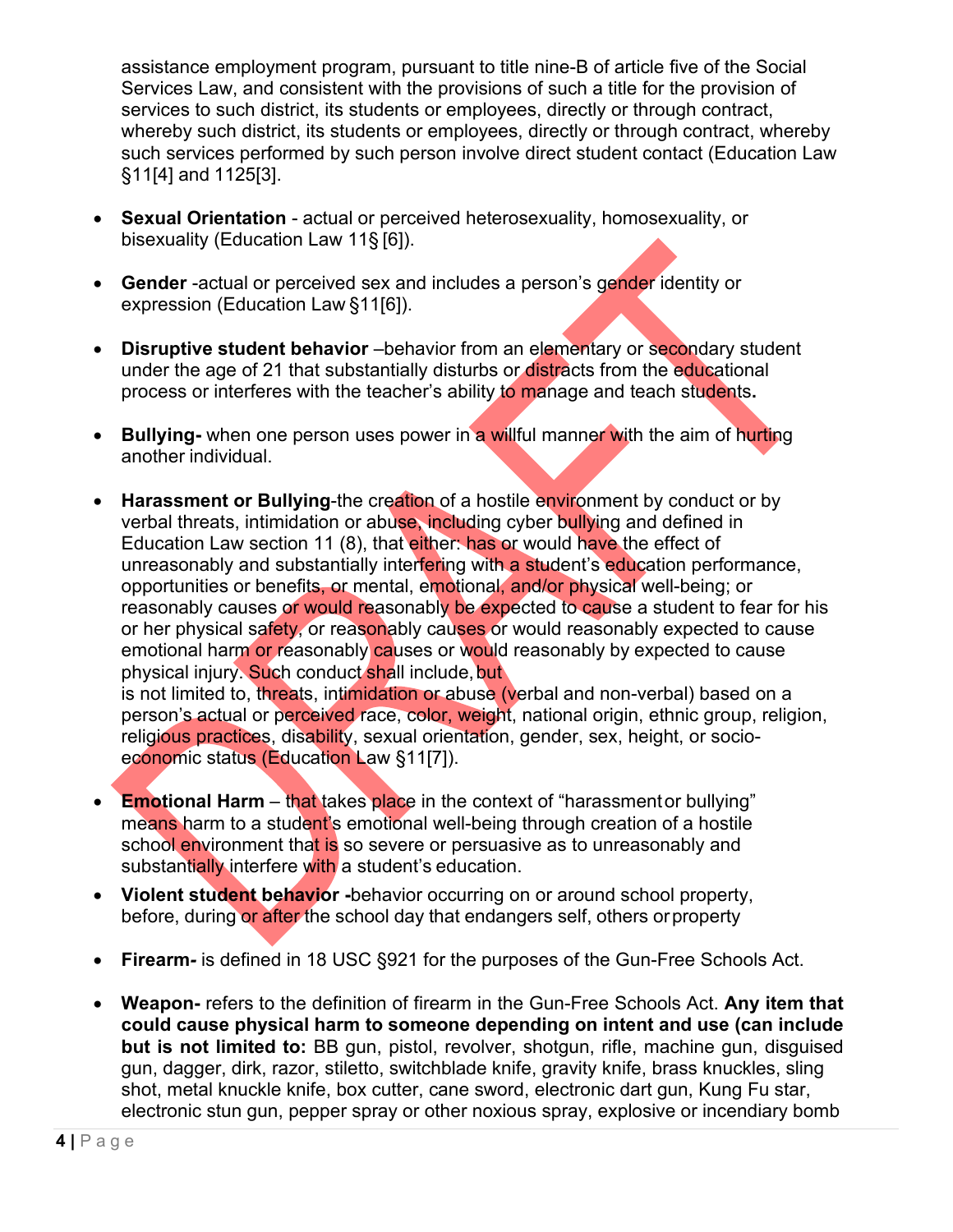assistance employment program, pursuant to title nine-B of article five of the Social Services Law, and consistent with the provisions of such a title for the provision of services to such district, its students or employees, directly or through contract, whereby such district, its students or employees, directly or through contract, whereby such services performed by such person involve direct student contact (Education Law §11[4] and 1125[3].

- **Sexual Orientation** actual or perceived heterosexuality, homosexuality, or bisexuality (Education Law 11§ [6]).
- **Gender** -actual or perceived sex and includes a person's gender identity or expression (Education Law §11[6]).
- **Disruptive student behavior** –behavior from an elementary or secondary student under the age of 21 that substantially disturbs or distracts from the educational process or interferes with the teacher's ability to manage and teach students**.**
- **Bullying-** when one person uses power in a willful manner with the aim of hurting another individual.
- **Example 2 Harassment or Bullying-the creation of a hostile environment by conduct or by** verbal threats, intimidation or abuse, including cyber bullying and defined in Education Law section 11 (8), that either: has or would have the effect of unreasonably and substantially interfering with a student's education performance, opportunities or benefits, or mental, emotional, and/or physical well-being; or reasonably causes or would reasonably be expected to cause a student to fear for his or her physical safety, or reasonably causes or would reasonably expected to cause emotional harm or reasonably causes or would reasonably by expected to cause physical injury. Such conduct shall include, but is not limited to, threats, intimidation or abuse (verbal and non-verbal) based on a

person's actual or perceived race, color, weight, national origin, ethnic group, religion, religious practices, disability, sexual orientation, gender, sex, height, or socioeconomic status (Education Law §11[7]).

- **Emotional Harm** that takes place in the context of "harassment or bullying" means harm to a student's emotional well-being through creation of a hostile school environment that is so severe or persuasive as to unreasonably and substantially interfere with a student's education.
- **Violent student behavior** -behavior occurring on or around school property, before, during or after the school day that endangers self, others orproperty
- Firearm- is defined in 18 USC §921 for the purposes of the Gun-Free Schools Act.
- x **Weapon-** refers to the definition of firearm in the Gun-Free Schools Act. **Any item that could cause physical harm to someone depending on intent and use (can include but is not limited to:** BB gun, pistol, revolver, shotgun, rifle, machine gun, disguised gun, dagger, dirk, razor, stiletto, switchblade knife, gravity knife, brass knuckles, sling shot, metal knuckle knife, box cutter, cane sword, electronic dart gun, Kung Fu star, electronic stun gun, pepper spray or other noxious spray, explosive or incendiary bomb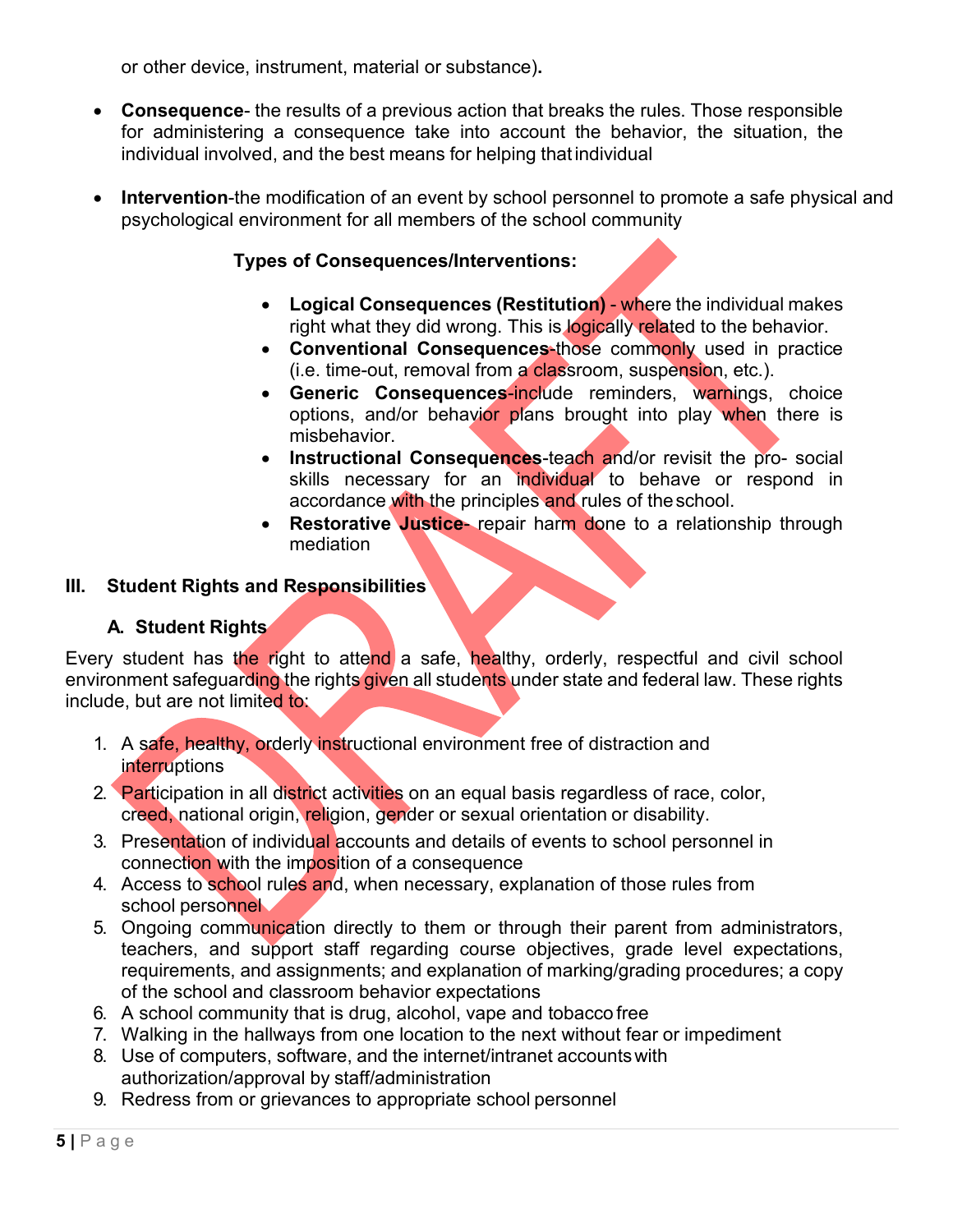or other device, instrument, material or substance)**.**

- **Consequence-** the results of a previous action that breaks the rules. Those responsible for administering a consequence take into account the behavior, the situation, the individual involved, and the best means for helping that individual
- Intervention-the modification of an event by school personnel to promote a safe physical and psychological environment for all members of the school community

## **Types of Consequences/Interventions:**

- **Logical Consequences (Restitution)** where the individual makes right what they did wrong. This is **logically related to the behavior.**
- **Conventional Consequences-those commonly used in practice** (i.e. time-out, removal from a classroom, suspension, etc.).
- **Generic Consequences-include reminders, warnings, choice** options, and/or behavior plans brought into play when there is misbehavior.
- **Instructional Consequences-teach and/or revisit the pro- social** skills necessary for an individual to behave or respond in accordance with the principles and rules of theschool.
- **Restorative Justice-** repair harm done to a relationship through mediation

## **III. Student Rights and Responsibilities**

## **A. Student Rights**

Every student has the right to attend a safe, healthy, orderly, respectful and civil school environment safeguarding the rights given all students under state and federal law. These rights include, but are not limited to:

- 1. A safe, healthy, orderly instructional environment free of distraction and **interruptions**
- 2. Participation in all district activities on an equal basis regardless of race, color, creed, national origin, religion, gender or sexual orientation or disability.
- 3. Presentation of individual accounts and details of events to school personnel in connection with the imposition of a consequence
- 4. Access to school rules and, when necessary, explanation of those rules from school personnel
- 5. Ongoing communication directly to them or through their parent from administrators, teachers, and support staff regarding course objectives, grade level expectations, requirements, and assignments; and explanation of marking/grading procedures; a copy of the school and classroom behavior expectations
- 6. A school community that is drug, alcohol, vape and tobacco free
- 7. Walking in the hallways from one location to the next without fear or impediment
- 8. Use of computers, software, and the internet/intranet accountswith authorization/approval by staff/administration
- 9. Redress from or grievances to appropriate school personnel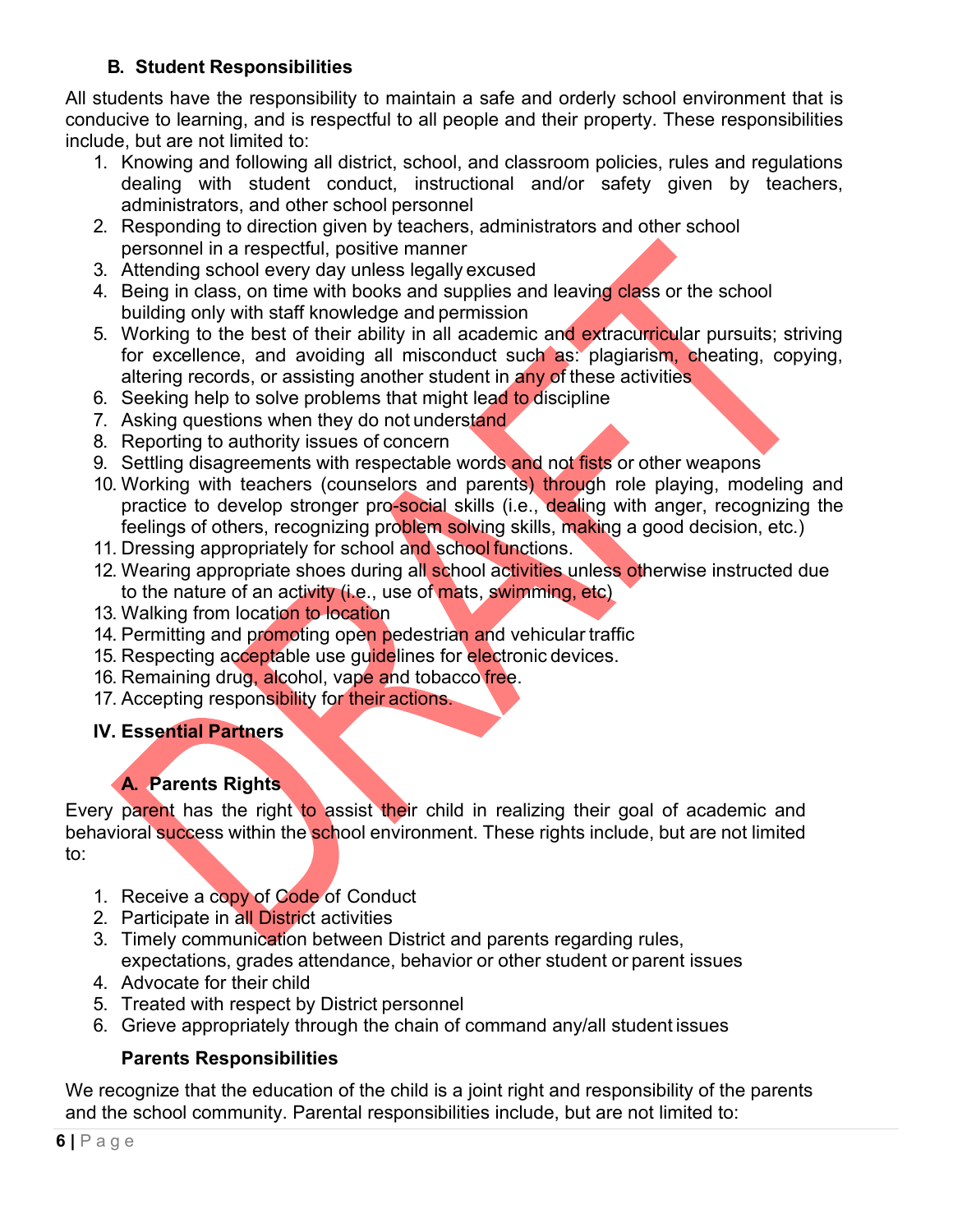# **B. Student Responsibilities**

All students have the responsibility to maintain a safe and orderly school environment that is conducive to learning, and is respectful to all people and their property. These responsibilities include, but are not limited to:

- 1. Knowing and following all district, school, and classroom policies, rules and regulations dealing with student conduct, instructional and/or safety given by teachers, administrators, and other school personnel
- 2. Responding to direction given by teachers, administrators and other school personnel in a respectful, positive manner
- 3. Attending school every day unless legally excused
- 4. Being in class, on time with books and supplies and leaving class or the school building only with staff knowledge and permission
- 5. Working to the best of their ability in all academic and extracurricular pursuits; striving for excellence, and avoiding all misconduct such as: plagiarism, cheating, copying, altering records, or assisting another student in any of these activities
- 6. Seeking help to solve problems that might lead to discipline
- 7. Asking questions when they do not understand.
- 8. Reporting to authority issues of concern
- 9. Settling disagreements with respectable words and not fists or other weapons
- 10. Working with teachers (counselors and parents) through role playing, modeling and practice to develop stronger pro-social skills (i.e., dealing with anger, recognizing the feelings of others, recognizing problem solving skills, making a good decision, etc.)
- 11. Dressing appropriately for school and school functions.
- 12. Wearing appropriate shoes during all school activities unless otherwise instructed due to the nature of an activity (i.e., use of mats, swimming, etc)
- 13. Walking from location to location
- 14. Permitting and promoting open pedestrian and vehicular traffic
- 15. Respecting acceptable use guidelines for electronic devices.
- 16. Remaining drug, alcohol, vape and tobacco free.
- 17. Accepting responsibility for their actions.

# **IV. Essential Partners**

# **A. Parents Rights**

Every parent has the right to assist their child in realizing their goal of academic and behavioral success within the school environment. These rights include, but are not limited to:

- 1. Receive a copy of Code of Conduct
- 2. Participate in all District activities
- 3. Timely communication between District and parents regarding rules, expectations, grades attendance, behavior or other student or parent issues
- 4. Advocate for their child
- 5. Treated with respect by District personnel
- 6. Grieve appropriately through the chain of command any/all student issues

# **Parents Responsibilities**

We recognize that the education of the child is a joint right and responsibility of the parents and the school community. Parental responsibilities include, but are not limited to: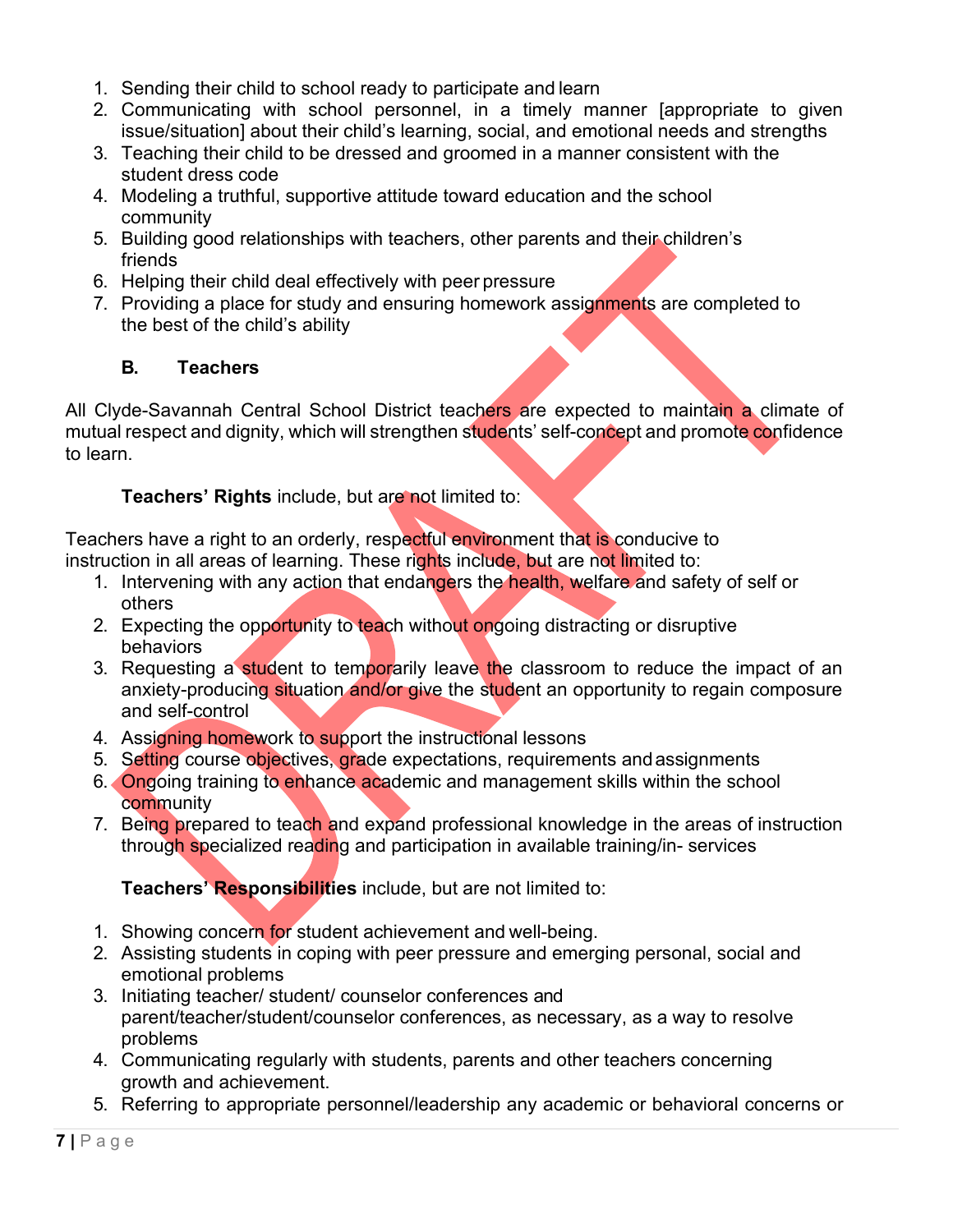- 1. Sending their child to school ready to participate and learn
- 2. Communicating with school personnel, in a timely manner [appropriate to given issue/situation] about their child's learning, social, and emotional needs and strengths
- 3. Teaching their child to be dressed and groomed in a manner consistent with the student dress code
- 4. Modeling a truthful, supportive attitude toward education and the school community
- 5. Building good relationships with teachers, other parents and their children's friends
- 6. Helping their child deal effectively with peer pressure
- 7. Providing a place for study and ensuring homework assignments are completed to the best of the child's ability

# **B. Teachers**

All Clyde-Savannah Central School District teachers are expected to maintain a climate of mutual respect and dignity, which will strengthen students' self-concept and promote confidence to learn.

# **Teachers' Rights** include, but are not limited to:

Teachers have a right to an orderly, respectful environment that is conducive to instruction in all areas of learning. These rights include, but are not limited to:

- 1. Intervening with any action that endangers the health, welfare and safety of self or others
- 2. Expecting the opportunity to teach without ongoing distracting or disruptive behaviors
- 3. Requesting a student to temporarily leave the classroom to reduce the impact of an anxiety-producing situation and/or give the student an opportunity to regain composure and self-control
- 4. Assigning homework to support the instructional lessons
- 5. Setting course objectives, grade expectations, requirements andassignments
- 6. Ongoing training to enhance academic and management skills within the school **community**
- 7. Being prepared to teach and expand professional knowledge in the areas of instruction through specialized reading and participation in available training/in- services

**Teachers' Responsibilities** include, but are not limited to:

- 1. Showing concern for student achievement and well-being.
- 2. Assisting students in coping with peer pressure and emerging personal, social and emotional problems
- 3. Initiating teacher/ student/ counselor conferences and parent/teacher/student/counselor conferences, as necessary, as a way to resolve problems
- 4. Communicating regularly with students, parents and other teachers concerning growth and achievement.
- 5. Referring to appropriate personnel/leadership any academic or behavioral concerns or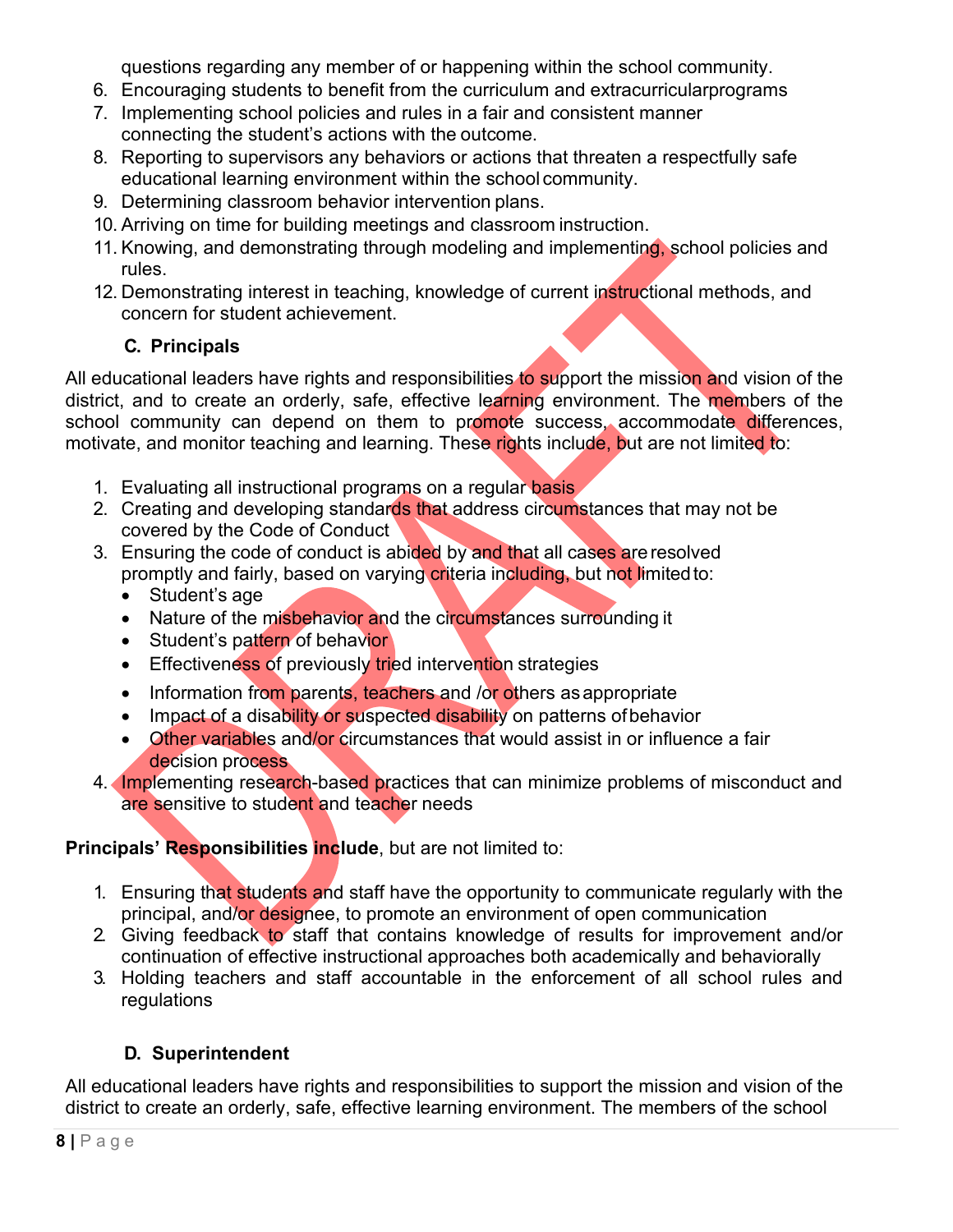questions regarding any member of or happening within the school community.

- 6. Encouraging students to benefit from the curriculum and extracurricularprograms
- 7. Implementing school policies and rules in a fair and consistent manner connecting the student's actions with the outcome.
- 8. Reporting to supervisors any behaviors or actions that threaten a respectfully safe educational learning environment within the school community.
- 9. Determining classroom behavior intervention plans.
- 10. Arriving on time for building meetings and classroom instruction.
- 11. Knowing, and demonstrating through modeling and implementing, school policies and rules.
- 12. Demonstrating interest in teaching, knowledge of current instructional methods, and concern for student achievement.

# **C. Principals**

All educational leaders have rights and responsibilities to support the mission and vision of the district, and to create an orderly, safe, effective learning environment. The members of the school community can depend on them to promote success, accommodate differences, motivate, and monitor teaching and learning. These rights include, but are not limited to:

- 1. Evaluating all instructional programs on a regular basis
- 2. Creating and developing standards that address circumstances that may not be covered by the Code of Conduct
- 3. Ensuring the code of conduct is abided by and that all cases are resolved promptly and fairly, based on varying criteria including, but not limited to:
	- $\bullet$  Student's age
	- Nature of the misbehavior and the circumstances surrounding it
	- Student's pattern of behavior
	- **Effectiveness of previously tried intervention strategies**
	- Information from parents, teachers and /or others as appropriate
	- Impact of a disability or suspected disability on patterns of behavior
	- Other variables and/or circumstances that would assist in or influence a fair decision process
- 4. Implementing research-based practices that can minimize problems of misconduct and are sensitive to student and teacher needs

# **Principals' Responsibilities include**, but are not limited to:

- 1. Ensuring that students and staff have the opportunity to communicate regularly with the principal, and/or designee, to promote an environment of open communication
- 2. Giving feedback to staff that contains knowledge of results for improvement and/or continuation of effective instructional approaches both academically and behaviorally
- 3. Holding teachers and staff accountable in the enforcement of all school rules and regulations

# **D. Superintendent**

All educational leaders have rights and responsibilities to support the mission and vision of the district to create an orderly, safe, effective learning environment. The members of the school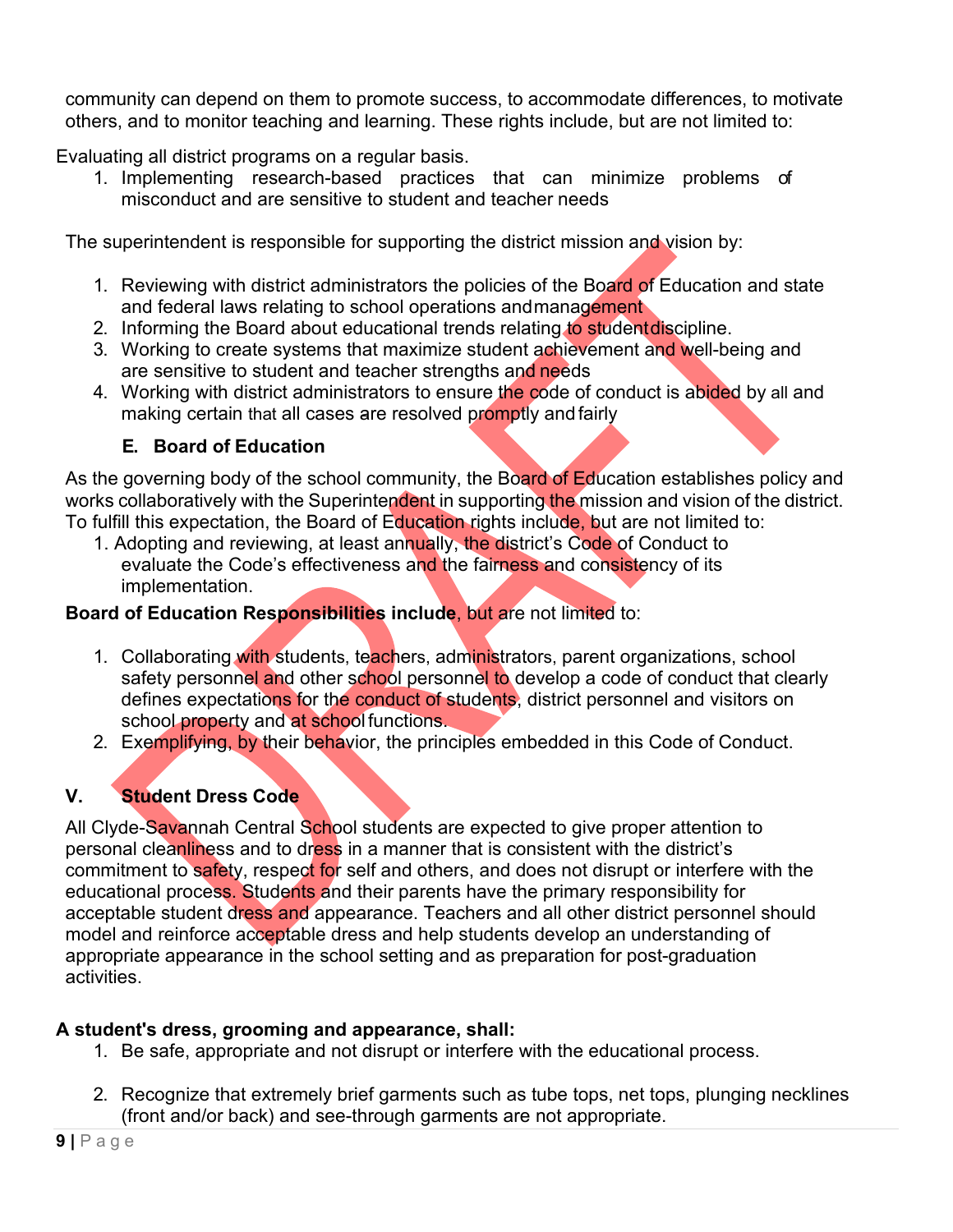community can depend on them to promote success, to accommodate differences, to motivate others, and to monitor teaching and learning. These rights include, but are not limited to:

Evaluating all district programs on a regular basis.

1. Implementing research-based practices that can minimize problems of misconduct and are sensitive to student and teacher needs

The superintendent is responsible for supporting the district mission and vision by:

- 1. Reviewing with district administrators the policies of the Board of Education and state and federal laws relating to school operations andmanagement
- 2. Informing the Board about educational trends relating to student discipline.
- 3. Working to create systems that maximize student achievement and well-being and are sensitive to student and teacher strengths and needs
- 4. Working with district administrators to ensure the code of conduct is abided by all and making certain that all cases are resolved promptly and fairly

# **E. Board of Education**

As the governing body of the school community, the Board of Education establishes policy and works collaboratively with the Superintendent in supporting the mission and vision of the district. To fulfill this expectation, the Board of Education rights include, but are not limited to:

1. Adopting and reviewing, at least annually, the district's Code of Conduct to evaluate the Code's effectiveness and the fairness and consistency of its implementation.

# **Board of Education Responsibilities include**, but are not limited to:

- 1. Collaborating with students, teachers, administrators, parent organizations, school safety personnel and other school personnel to develop a code of conduct that clearly defines expectations for the conduct of students, district personnel and visitors on school property and at school functions.
- 2. Exemplifying, by their behavior, the principles embedded in this Code of Conduct.

# **V. Student Dress Code**

All Clyde-Savannah Central School students are expected to give proper attention to personal cleanliness and to dress in a manner that is consistent with the district's commitment to safety, respect for self and others, and does not disrupt or interfere with the educational process. Students and their parents have the primary responsibility for acceptable student dress and appearance. Teachers and all other district personnel should model and reinforce acceptable dress and help students develop an understanding of appropriate appearance in the school setting and as preparation for post-graduation activities.

# **A student's dress, grooming and appearance, shall:**

- 1. Be safe, appropriate and not disrupt or interfere with the educational process.
- 2. Recognize that extremely brief garments such as tube tops, net tops, plunging necklines (front and/or back) and see-through garments are not appropriate.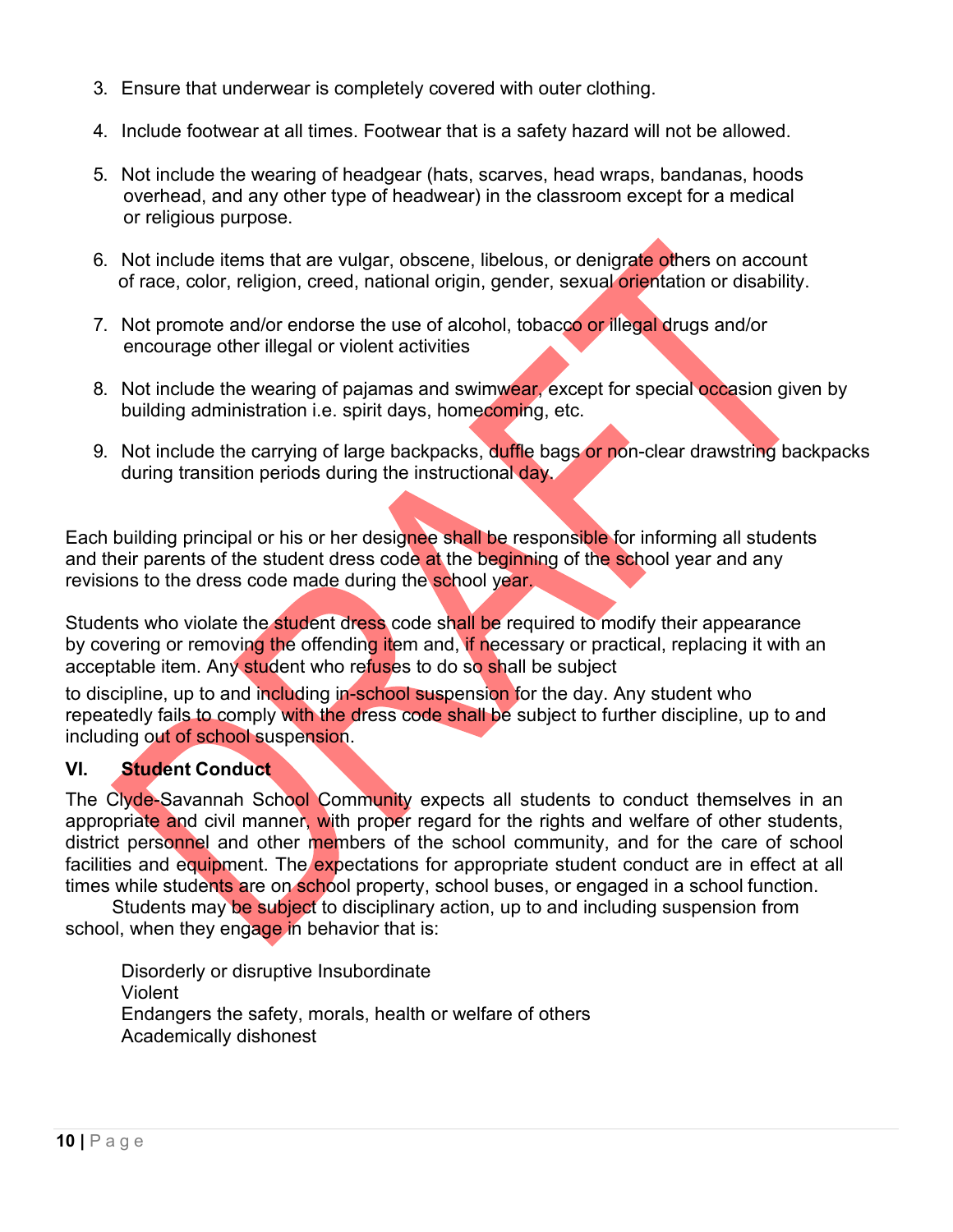- 3. Ensure that underwear is completely covered with outer clothing.
- 4. Include footwear at all times. Footwear that is a safety hazard will not be allowed.
- 5. Not include the wearing of headgear (hats, scarves, head wraps, bandanas, hoods overhead, and any other type of headwear) in the classroom except for a medical or religious purpose.
- 6. Not include items that are vulgar, obscene, libelous, or denigrate others on account of race, color, religion, creed, national origin, gender, sexual orientation or disability.
- 7. Not promote and/or endorse the use of alcohol, tobacco or illegal drugs and/or encourage other illegal or violent activities
- 8. Not include the wearing of pajamas and swimwear, except for special occasion given by building administration i.e. spirit days, homecoming, etc.
- 9. Not include the carrying of large backpacks, duffle bags or non-clear drawstring backpacks during transition periods during the instructional day.

Each building principal or his or her designee shall be responsible for informing all students and their parents of the student dress code at the beginning of the school year and any revisions to the dress code made during the school year.

Students who violate the student dress code shall be required to modify their appearance by covering or removing the offending item and, if necessary or practical, replacing it with an acceptable item. Any student who refuses to do so shall be subject

to discipline, up to and including in-school suspension for the day. Any student who repeatedly fails to comply with the dress code shall be subject to further discipline, up to and including out of school suspension.

## **VI. Student Conduct**

The Clyde-Savannah School Community expects all students to conduct themselves in an appropriate and civil manner, with proper regard for the rights and welfare of other students, district personnel and other members of the school community, and for the care of school facilities and equipment. The expectations for appropriate student conduct are in effect at all times while students are on school property, school buses, or engaged in a school function.

Students may be subject to disciplinary action, up to and including suspension from school, when they engage in behavior that is:

Disorderly or disruptive Insubordinate Violent Endangers the safety, morals, health or welfare of others Academically dishonest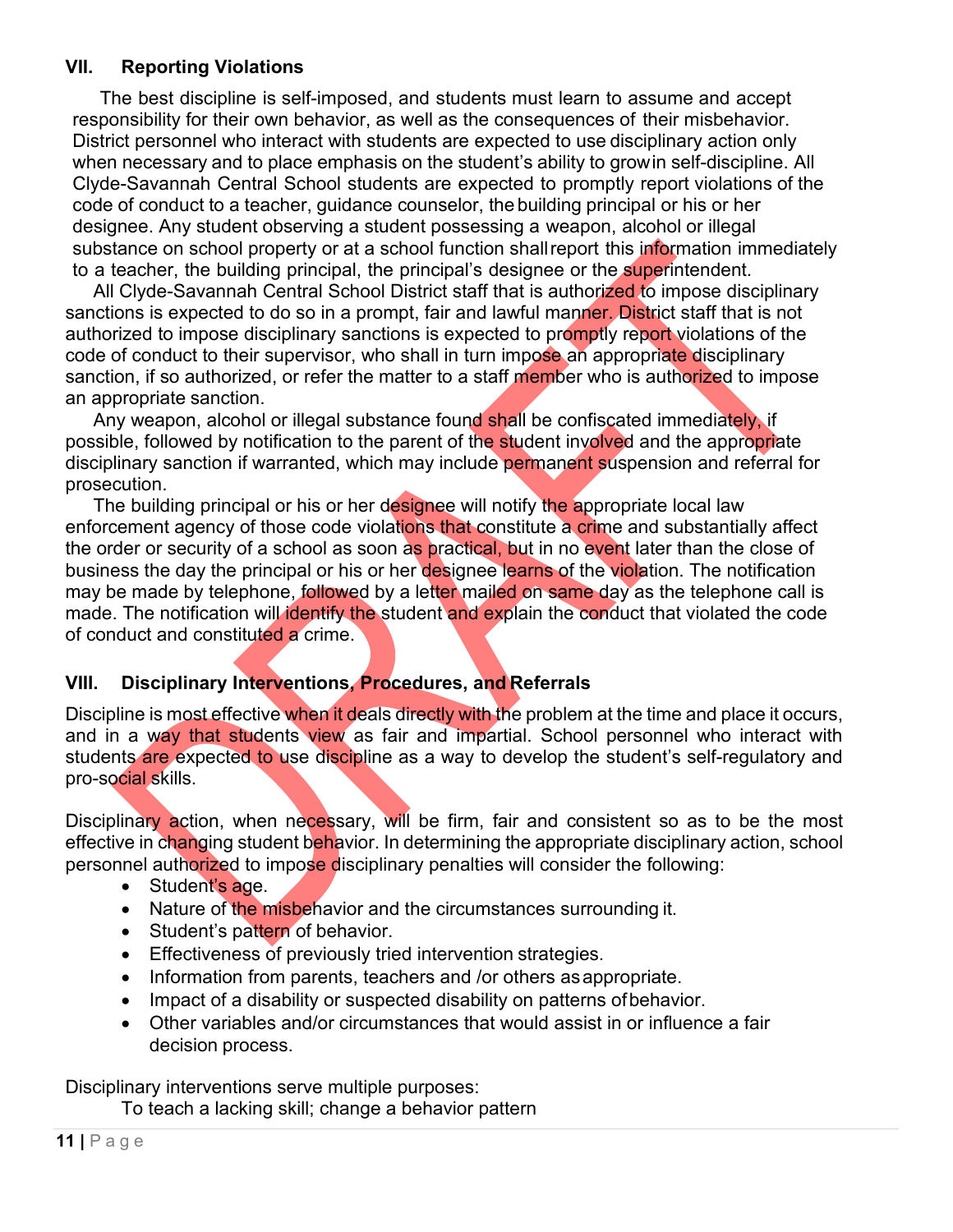### **VII. Reporting Violations**

The best discipline is self-imposed, and students must learn to assume and accept responsibility for their own behavior, as well as the consequences of their misbehavior. District personnel who interact with students are expected to use disciplinary action only when necessary and to place emphasis on the student's ability to growin self-discipline. All Clyde-Savannah Central School students are expected to promptly report violations of the code of conduct to a teacher, guidance counselor, the building principal or his or her designee. Any student observing a student possessing a weapon, alcohol or illegal substance on school property or at a school function shall report this information immediately to a teacher, the building principal, the principal's designee or the superintendent.

All Clyde-Savannah Central School District staff that is authorized to impose disciplinary sanctions is expected to do so in a prompt, fair and lawful manner. District staff that is not authorized to impose disciplinary sanctions is expected to promptly report violations of the code of conduct to their supervisor, who shall in turn impose an appropriate disciplinary sanction, if so authorized, or refer the matter to a staff member who is authorized to impose an appropriate sanction.

Any weapon, alcohol or illegal substance found shall be confiscated immediately, if possible, followed by notification to the parent of the student involved and the appropriate disciplinary sanction if warranted, which may include permanent suspension and referral for prosecution.

The building principal or his or her designee will notify the appropriate local law enforcement agency of those code violations that constitute a crime and substantially affect the order or security of a school as soon as practical, but in no event later than the close of business the day the principal or his or her designee learns of the violation. The notification may be made by telephone, followed by a letter mailed on same day as the telephone call is made. The notification will identify the student and explain the conduct that violated the code of conduct and constituted a crime.

## **VIII. Disciplinary Interventions, Procedures, and Referrals**

Discipline is most effective when it deals directly with the problem at the time and place it occurs, and in a way that students view as fair and impartial. School personnel who interact with students are expected to use discipline as a way to develop the student's self-regulatory and pro-social skills.

Disciplinary action, when necessary, will be firm, fair and consistent so as to be the most effective in changing student behavior. In determining the appropriate disciplinary action, school personnel authorized to impose disciplinary penalties will consider the following:

- Student's age.
- Nature of the misbehavior and the circumstances surrounding it.
- Student's pattern of behavior.
- **Effectiveness of previously tried intervention strategies.**
- Information from parents, teachers and /or others as appropriate.
- Impact of a disability or suspected disability on patterns of behavior.
- Other variables and/or circumstances that would assist in or influence a fair decision process.

Disciplinary interventions serve multiple purposes:

To teach a lacking skill; change a behavior pattern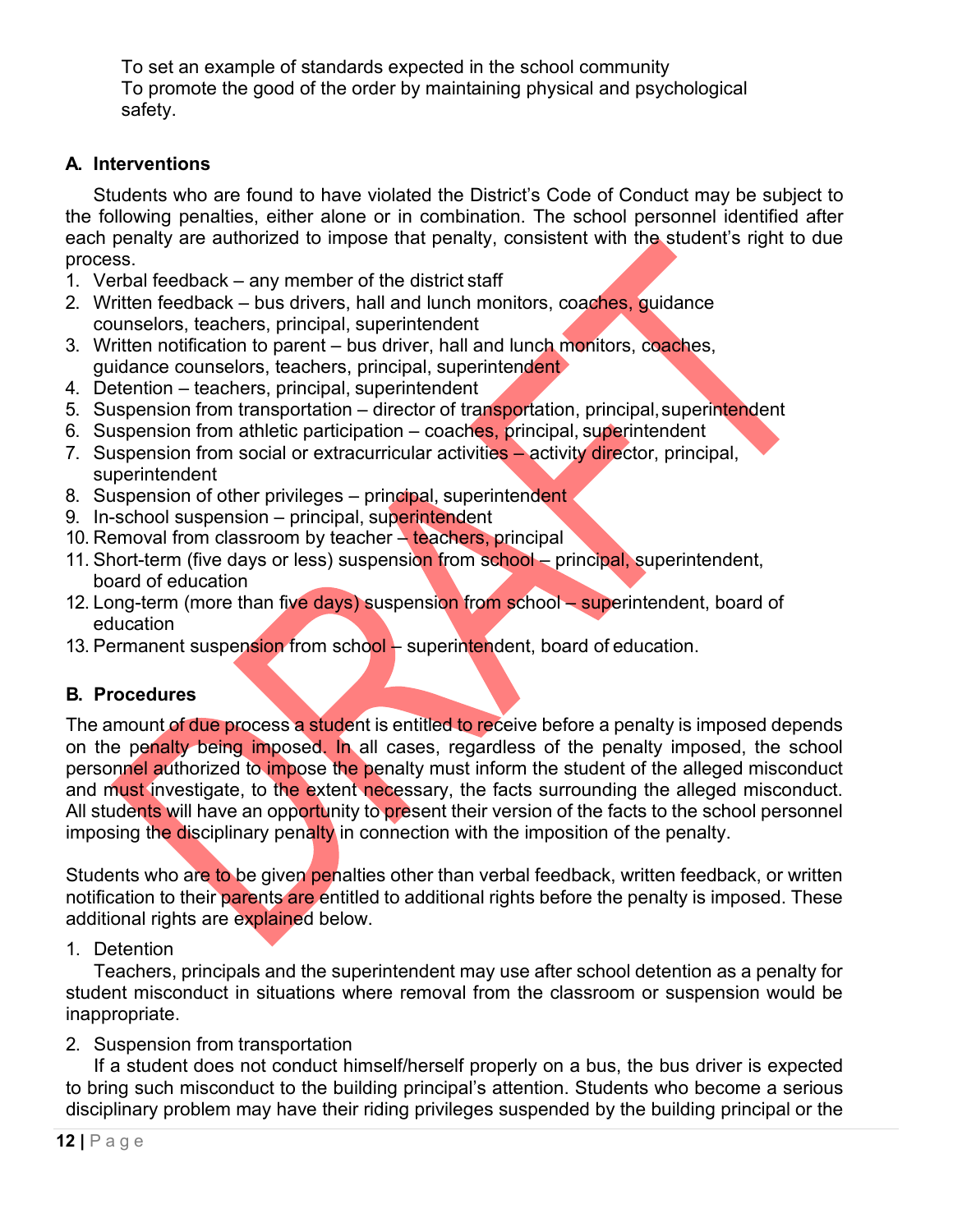To set an example of standards expected in the school community To promote the good of the order by maintaining physical and psychological safety.

## **A. Interventions**

Students who are found to have violated the District's Code of Conduct may be subject to the following penalties, either alone or in combination. The school personnel identified after each penalty are authorized to impose that penalty, consistent with the student's right to due process.

- 1. Verbal feedback any member of the district staff
- 2. Written feedback bus drivers, hall and lunch monitors, coaches, quidance counselors, teachers, principal, superintendent
- 3. Written notification to parent bus driver, hall and lunch monitors, coaches, guidance counselors, teachers, principal, superintendent
- 4. Detention teachers, principal, superintendent
- 5. Suspension from transportation director of transportation, principal, superintendent
- 6. Suspension from athletic participation coaches, principal, superintendent
- 7. Suspension from social or extracurricular activities activity director, principal, superintendent
- 8. Suspension of other privileges principal, superintendent
- 9. In-school suspension principal, superintendent
- 10. Removal from classroom by teacher teachers, principal
- 11. Short-term (five days or less) suspension from school principal, superintendent, board of education
- 12. Long-term (more than five days) suspension from school superintendent, board of education
- 13. Permanent suspension from school superintendent, board of education.

## **B. Procedures**

The amount of due process a student is entitled to receive before a penalty is imposed depends on the penalty being imposed. In all cases, regardless of the penalty imposed, the school personnel authorized to impose the penalty must inform the student of the alleged misconduct and must investigate, to the extent necessary, the facts surrounding the alleged misconduct. All students will have an opportunity to present their version of the facts to the school personnel imposing the disciplinary penalty in connection with the imposition of the penalty.

Students who are to be given penalties other than verbal feedback, written feedback, or written notification to their parents are entitled to additional rights before the penalty is imposed. These additional rights are explained below.

1. Detention

Teachers, principals and the superintendent may use after school detention as a penalty for student misconduct in situations where removal from the classroom or suspension would be inappropriate.

## 2. Suspension from transportation

If a student does not conduct himself/herself properly on a bus, the bus driver is expected to bring such misconduct to the building principal's attention. Students who become a serious disciplinary problem may have their riding privileges suspended by the building principal or the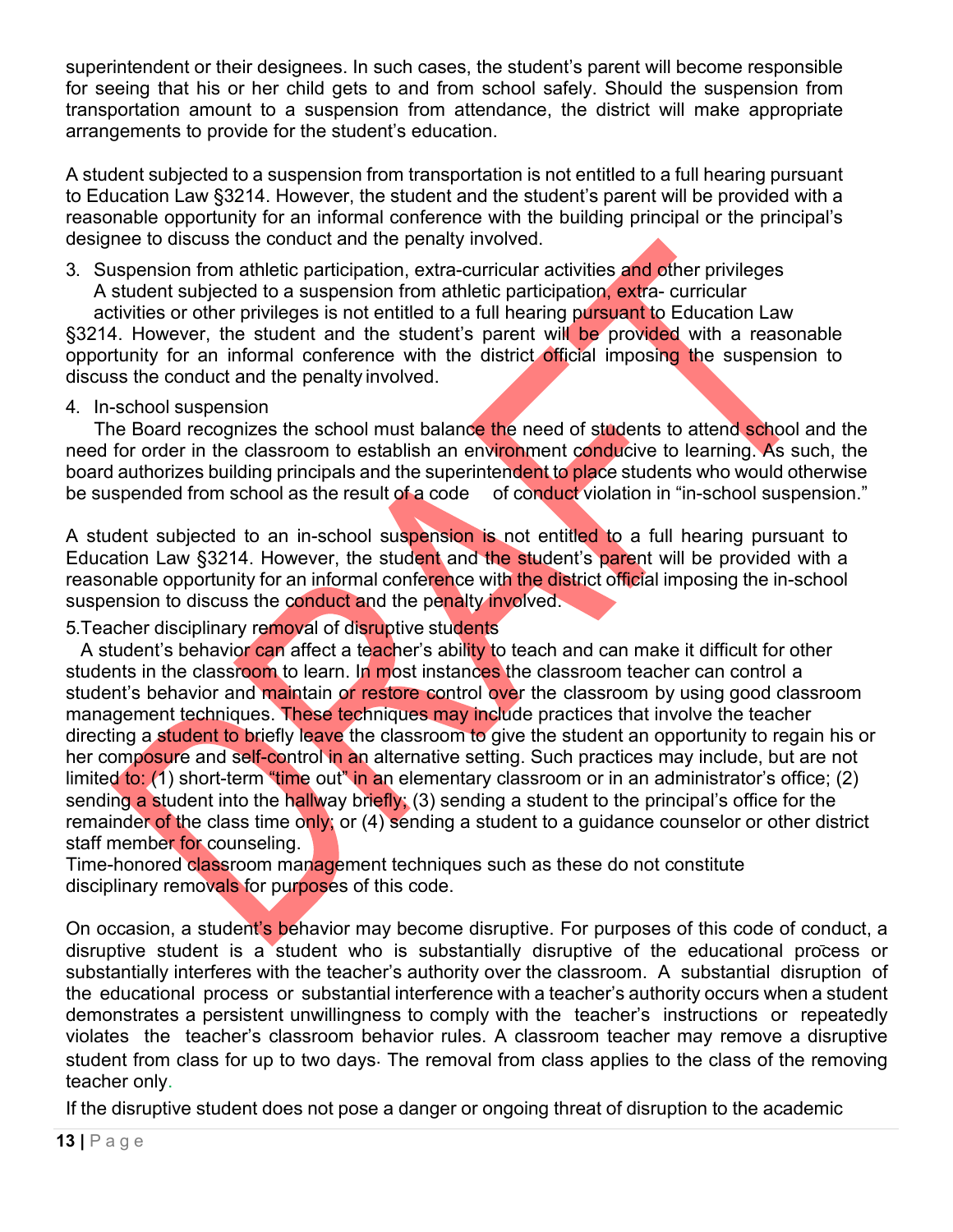superintendent or their designees. In such cases, the student's parent will become responsible for seeing that his or her child gets to and from school safely. Should the suspension from transportation amount to a suspension from attendance, the district will make appropriate arrangements to provide for the student's education.

A student subjected to a suspension from transportation is not entitled to a full hearing pursuant to Education Law §3214. However, the student and the student's parent will be provided with a reasonable opportunity for an informal conference with the building principal or the principal's designee to discuss the conduct and the penalty involved.

3. Suspension from athletic participation, extra-curricular activities and other privileges A student subjected to a suspension from athletic participation, extra- curricular

activities or other privileges is not entitled to a full hearing pursuant to Education Law §3214. However, the student and the student's parent will be provided with a reasonable opportunity for an informal conference with the district official imposing the suspension to discuss the conduct and the penalty involved.

#### 4. In-school suspension

The Board recognizes the school must balance the need of students to attend school and the need for order in the classroom to establish an environment conducive to learning. As such, the board authorizes building principals and the superintendent to place students who would otherwise be suspended from school as the result of a code of conduct violation in "in-school suspension."

A student subjected to an in-school suspension is not entitled to a full hearing pursuant to Education Law §3214. However, the student and the student's parent will be provided with a reasonable opportunity for an informal conference with the district official imposing the in-school suspension to discuss the conduct and the penalty involved.

5.Teacher disciplinary removal of disruptive students

A student's behavior can affect a teacher's ability to teach and can make it difficult for other students in the classroom to learn. In most instances the classroom teacher can control a student's behavior and maintain or restore control over the classroom by using good classroom management techniques. These techniques may include practices that involve the teacher directing a student to briefly leave the classroom to give the student an opportunity to regain his or her composure and self-control in an alternative setting. Such practices may include, but are not limited to:  $(1)$  short-term "time out" in an elementary classroom or in an administrator's office; (2) sending a student into the hallway briefly; (3) sending a student to the principal's office for the remainder of the class time only; or (4) sending a student to a guidance counselor or other district staff member for counseling.

Time-honored classroom management techniques such as these do not constitute disciplinary removals for purposes of this code.

On occasion, a student's behavior may become disruptive. For purposes of this code of conduct, a disruptive student is a student who is substantially disruptive of the educational process or substantially interferes with the teacher's authority over the classroom. A substantial disruption of the educational process or substantial interference with a teacher's authority occurs when a student demonstrates a persistent unwillingness to comply with the teacher's instructions or repeatedly violates the teacher's classroom behavior rules. A classroom teacher may remove a disruptive student from class for up to two days. The removal from class applies to the class of the removing teacher only.

If the disruptive student does not pose a danger or ongoing threat of disruption to the academic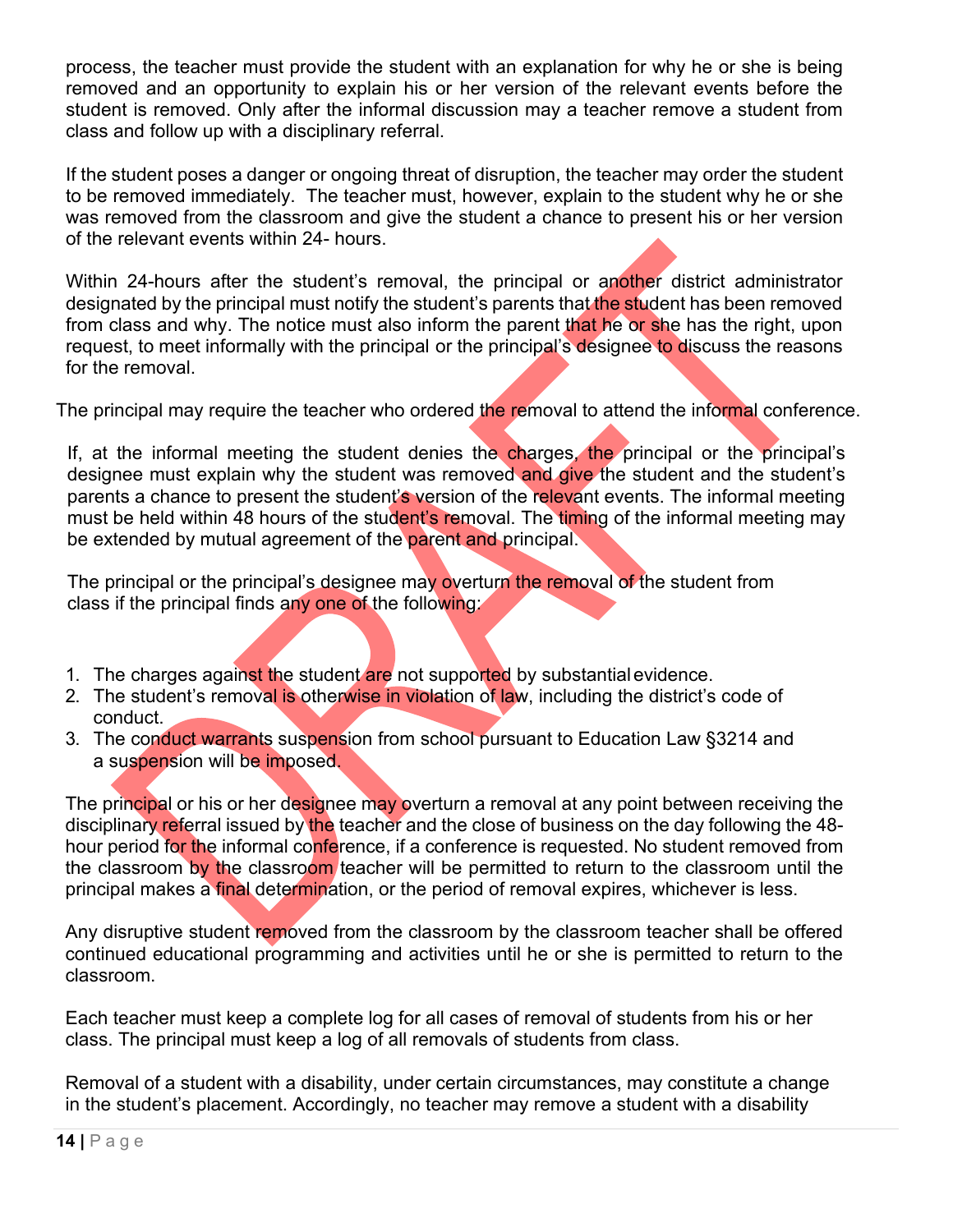process, the teacher must provide the student with an explanation for why he or she is being removed and an opportunity to explain his or her version of the relevant events before the student is removed. Only after the informal discussion may a teacher remove a student from class and follow up with a disciplinary referral.

If the student poses a danger or ongoing threat of disruption, the teacher may order the student to be removed immediately. The teacher must, however, explain to the student why he or she was removed from the classroom and give the student a chance to present his or her version of the relevant events within 24- hours.

Within 24-hours after the student's removal, the principal or another district administrator designated by the principal must notify the student's parents that the student has been removed from class and why. The notice must also inform the parent that he or she has the right, upon request, to meet informally with the principal or the principal's designee to discuss the reasons for the removal.

The principal may require the teacher who ordered the removal to attend the informal conference.

If, at the informal meeting the student denies the charges, the principal or the principal's designee must explain why the student was removed and give the student and the student's parents a chance to present the student's version of the relevant events. The informal meeting must be held within 48 hours of the student's removal. The timing of the informal meeting may be extended by mutual agreement of the parent and principal.

The principal or the principal's designee may overturn the removal of the student from class if the principal finds any one of the following:

- 1. The charges against the student are not supported by substantial evidence.
- 2. The student's removal is otherwise in violation of law, including the district's code of conduct.
- 3. The conduct warrants suspension from school pursuant to Education Law §3214 and a suspension will be imposed.

The principal or his or her designee may overturn a removal at any point between receiving the disciplinary referral issued by the teacher and the close of business on the day following the 48 hour period for the informal conference, if a conference is requested. No student removed from the classroom by the classroom teacher will be permitted to return to the classroom until the principal makes a final determination, or the period of removal expires, whichever is less.

Any disruptive student removed from the classroom by the classroom teacher shall be offered continued educational programming and activities until he or she is permitted to return to the classroom.

Each teacher must keep a complete log for all cases of removal of students from his or her class. The principal must keep a log of all removals of students from class.

Removal of a student with a disability, under certain circumstances, may constitute a change in the student's placement. Accordingly, no teacher may remove a student with a disability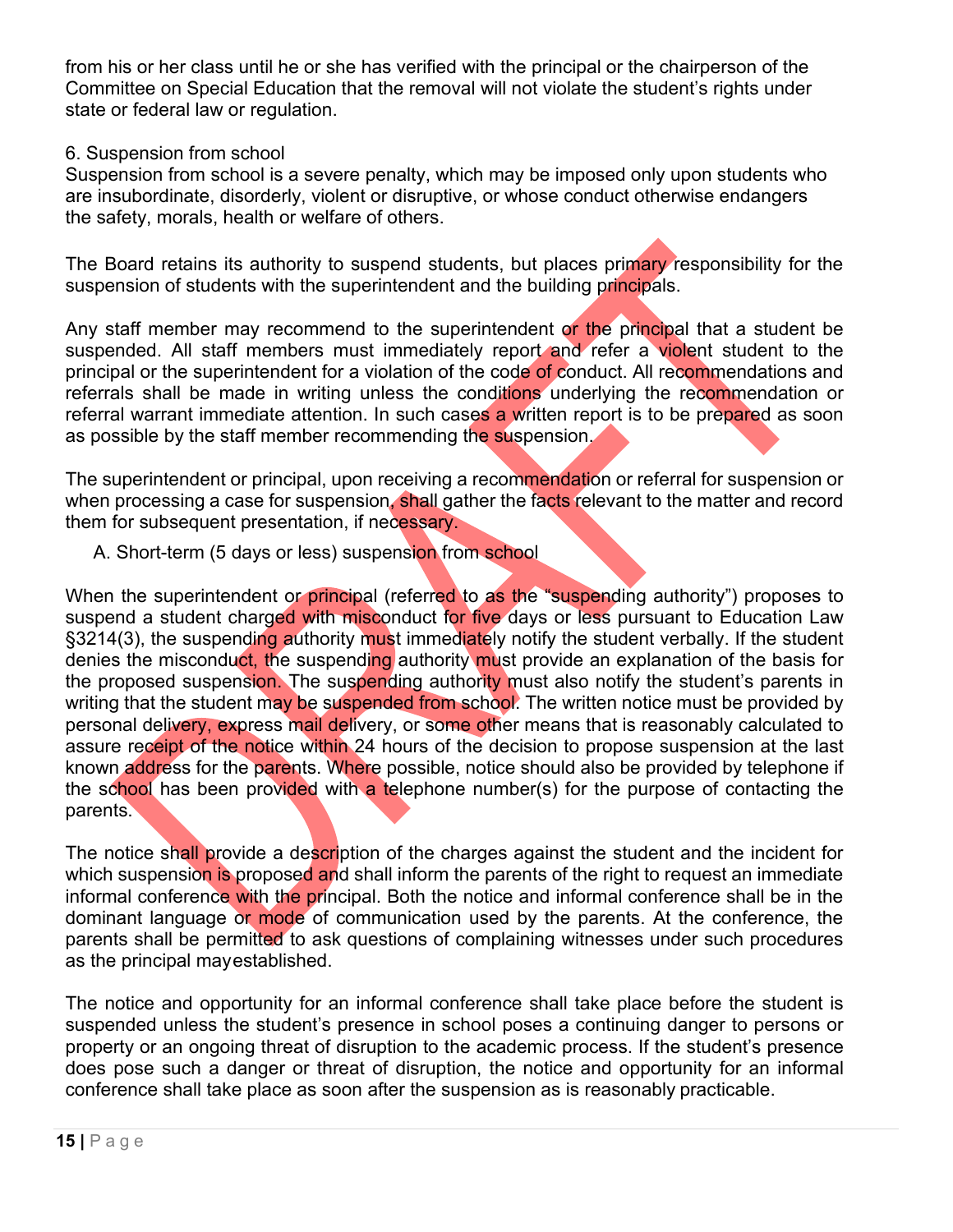from his or her class until he or she has verified with the principal or the chairperson of the Committee on Special Education that the removal will not violate the student's rights under state or federal law or regulation.

#### 6. Suspension from school

Suspension from school is a severe penalty, which may be imposed only upon students who are insubordinate, disorderly, violent or disruptive, or whose conduct otherwise endangers the safety, morals, health or welfare of others.

The Board retains its authority to suspend students, but places primary responsibility for the suspension of students with the superintendent and the building principals.

Any staff member may recommend to the superintendent or the principal that a student be suspended. All staff members must immediately report and refer a violent student to the principal or the superintendent for a violation of the code of conduct. All recommendations and referrals shall be made in writing unless the conditions underlying the recommendation or referral warrant immediate attention. In such cases a written report is to be prepared as soon as possible by the staff member recommending the suspension.

The superintendent or principal, upon receiving a recommendation or referral for suspension or when processing a case for suspension, shall gather the facts relevant to the matter and record them for subsequent presentation, if necessary.

A. Short-term (5 days or less) suspension from school

When the superintendent or principal (referred to as the "suspending authority") proposes to suspend a student charged with misconduct for five days or less pursuant to Education Law §3214(3), the suspending authority must immediately notify the student verbally. If the student denies the misconduct, the suspending authority must provide an explanation of the basis for the proposed suspension. The suspending authority must also notify the student's parents in writing that the student may be suspended from school. The written notice must be provided by personal delivery, express mail delivery, or some other means that is reasonably calculated to assure receipt of the notice within 24 hours of the decision to propose suspension at the last known address for the parents. Where possible, notice should also be provided by telephone if the school has been provided with a telephone number(s) for the purpose of contacting the parents.

The notice shall provide a description of the charges against the student and the incident for which suspension is proposed and shall inform the parents of the right to request an immediate informal conference with the principal. Both the notice and informal conference shall be in the dominant language or mode of communication used by the parents. At the conference, the parents shall be permitted to ask questions of complaining witnesses under such procedures as the principal mayestablished.

The notice and opportunity for an informal conference shall take place before the student is suspended unless the student's presence in school poses a continuing danger to persons or property or an ongoing threat of disruption to the academic process. If the student's presence does pose such a danger or threat of disruption, the notice and opportunity for an informal conference shall take place as soon after the suspension as is reasonably practicable.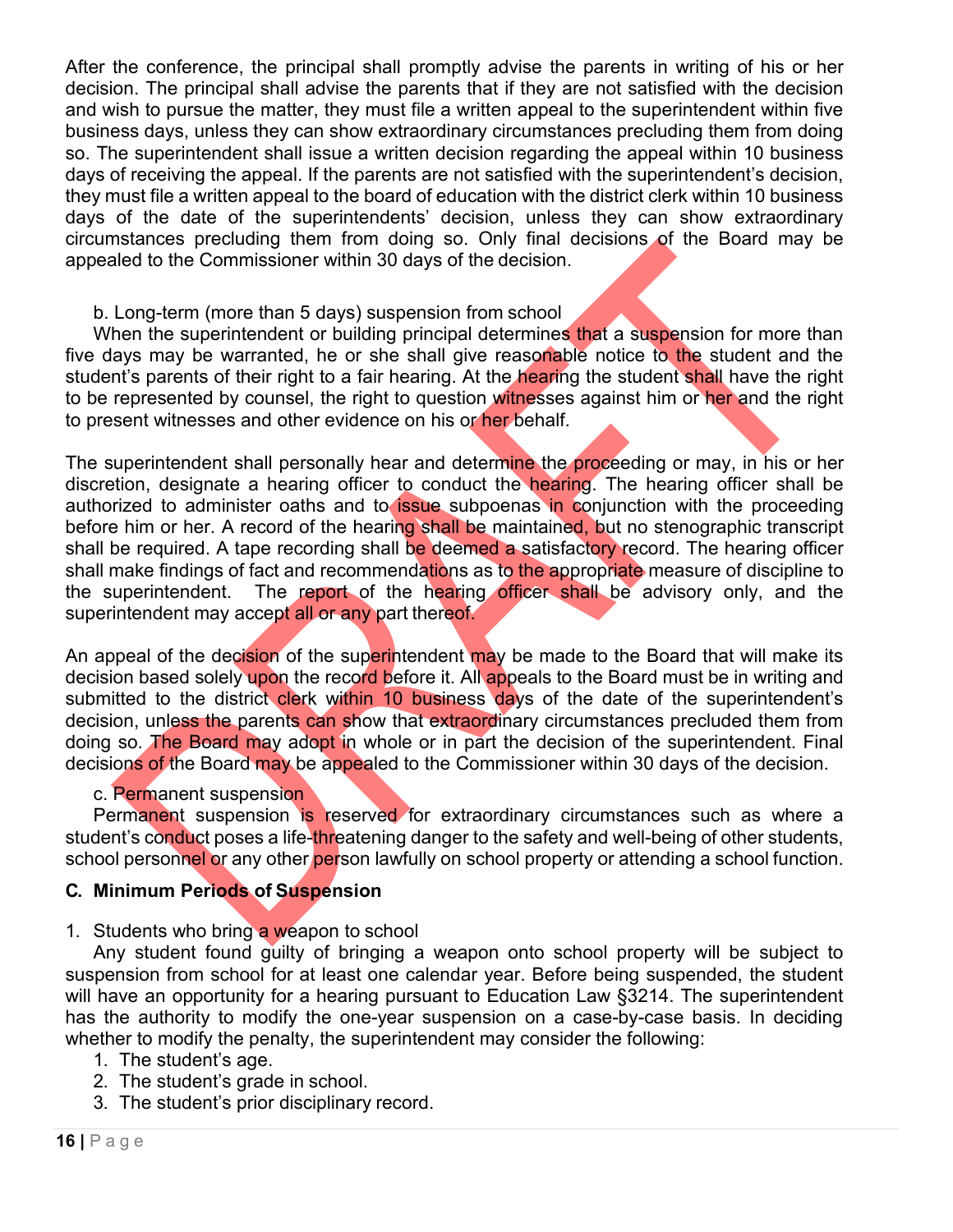After the conference, the principal shall promptly advise the parents in writing of his or her decision. The principal shall advise the parents that if they are not satisfied with the decision and wish to pursue the matter, they must file a written appeal to the superintendent within five business days, unless they can show extraordinary circumstances precluding them from doing so. The superintendent shall issue a written decision regarding the appeal within 10 business days of receiving the appeal. If the parents are not satisfied with the superintendent's decision, they must file a written appeal to the board of education with the district clerk within 10 business days of the date of the superintendents' decision, unless they can show extraordinary circumstances precluding them from doing so. Only final decisions of the Board may be appealed to the Commissioner within 30 days of the decision.

#### b. Long-term (more than 5 days) suspension from school

When the superintendent or building principal determines that a suspension for more than five days may be warranted, he or she shall give reasonable notice to the student and the student's parents of their right to a fair hearing. At the *hearing* the student shall have the right to be represented by counsel, the right to question witnesses against him or her and the right to present witnesses and other evidence on his or her behalf.

The superintendent shall personally hear and determine the proceeding or may, in his or her discretion, designate a hearing officer to conduct the hearing. The hearing officer shall be authorized to administer oaths and to issue subpoenas in conjunction with the proceeding before him or her. A record of the hearing shall be maintained, but no stenographic transcript shall be required. A tape recording shall be deemed a satisfactory record. The hearing officer shall make findings of fact and recommendations as to the appropriate measure of discipline to the superintendent. The report of the hearing officer shall be advisory only, and the superintendent may accept all or any part thereof.

An appeal of the decision of the superintendent may be made to the Board that will make its decision based solely upon the record before it. All appeals to the Board must be in writing and submitted to the district clerk within 10 business days of the date of the superintendent's decision, unless the parents can show that extraordinary circumstances precluded them from doing so. The Board may adopt in whole or in part the decision of the superintendent. Final decisions of the Board may be appealed to the Commissioner within 30 days of the decision.

#### c. Permanent suspension

Permanent suspension is reserved for extraordinary circumstances such as where a student's conduct poses a life-threatening danger to the safety and well-being of other students, school personnel or any other person lawfully on school property or attending a school function.

#### **C. Minimum Periods of Suspension**

#### 1. Students who bring a weapon to school

Any student found guilty of bringing a weapon onto school property will be subject to suspension from school for at least one calendar year. Before being suspended, the student will have an opportunity for a hearing pursuant to Education Law §3214. The superintendent has the authority to modify the one-year suspension on a case-by-case basis. In deciding whether to modify the penalty, the superintendent may consider the following:

- 1. The student's age.
- 2. The student's grade in school.
- 3. The student's prior disciplinary record.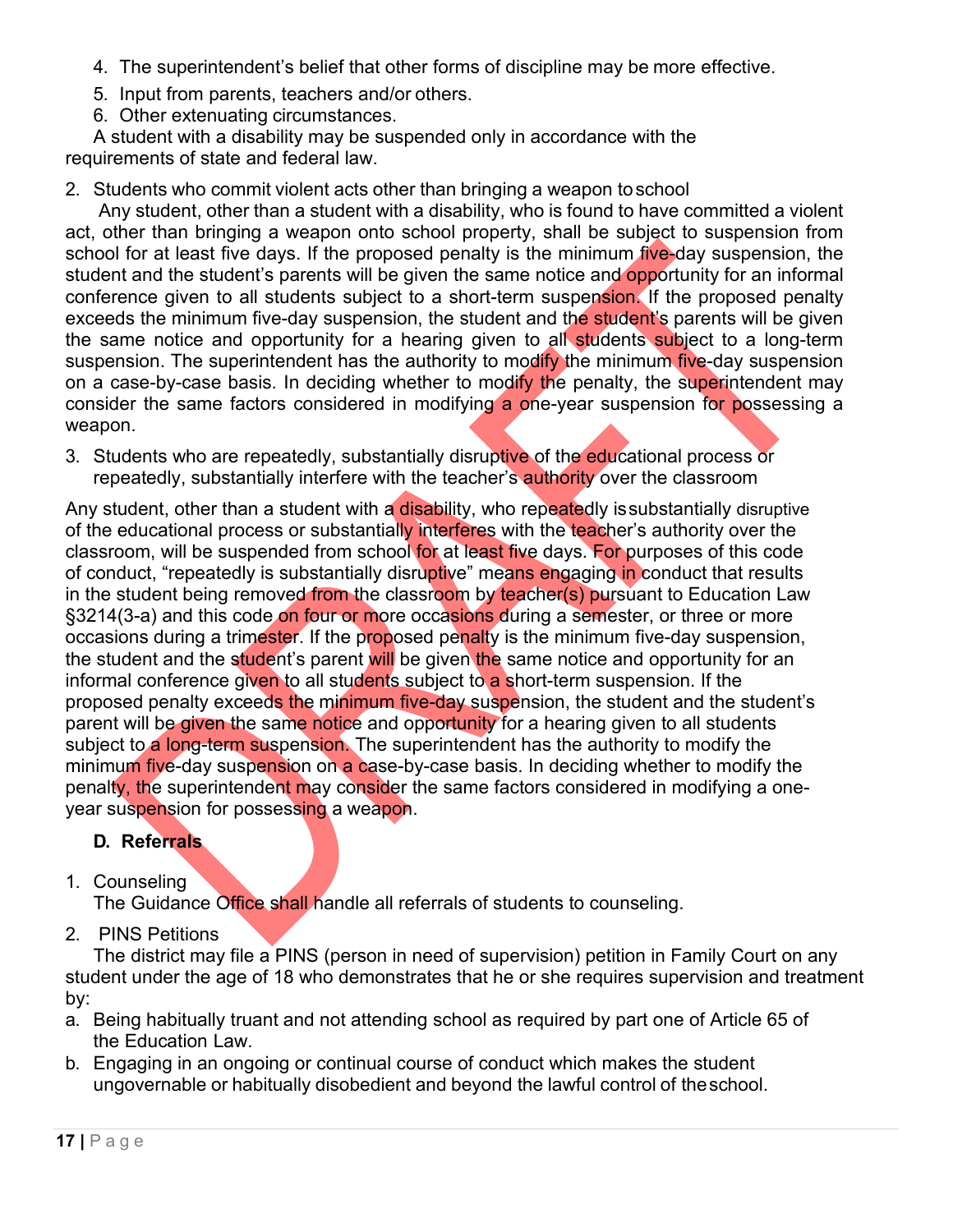- 4. The superintendent's belief that other forms of discipline may be more effective.
- 5. Input from parents, teachers and/or others.
- 6. Other extenuating circumstances.

A student with a disability may be suspended only in accordance with the requirements of state and federal law.

2. Students who commit violent acts other than bringing a weapon toschool

Any student, other than a student with a disability, who is found to have committed a violent act, other than bringing a weapon onto school property, shall be subject to suspension from school for at least five days. If the proposed penalty is the minimum five-day suspension, the student and the student's parents will be given the same notice and opportunity for an informal conference given to all students subject to a short-term suspension. If the proposed penalty exceeds the minimum five-day suspension, the student and the student's parents will be given the same notice and opportunity for a hearing given to all students subject to a long-term suspension. The superintendent has the authority to modify the minimum five-day suspension on a case-by-case basis. In deciding whether to modify the penalty, the superintendent may consider the same factors considered in modifying a one-year suspension for possessing a weapon.

3. Students who are repeatedly, substantially disruptive of the educational process or repeatedly, substantially interfere with the teacher's **authority** over the classroom

Any student, other than a student with a disability, who repeatedly is substantially disruptive of the educational process or substantially interferes with the teacher's authority over the classroom, will be suspended from school for at least five days. For purposes of this code of conduct, "repeatedly is substantially disruptive" means engaging in conduct that results in the student being removed from the classroom by teacher(s) pursuant to Education Law §3214(3-a) and this code on four or more occasions during a semester, or three or more occasions during a trimester. If the proposed penalty is the minimum five-day suspension, the student and the student's parent will be given the same notice and opportunity for an informal conference given to all students subject to a short-term suspension. If the proposed penalty exceeds the minimum five-day suspension, the student and the student's parent will be given the same notice and opportunity for a hearing given to all students subject to a long-term suspension. The superintendent has the authority to modify the minimum five-day suspension on a case-by-case basis. In deciding whether to modify the penalty, the superintendent may consider the same factors considered in modifying a oneyear suspension for possessing a weapon.

# **D. Referrals**

1. Counseling

The Guidance Office shall handle all referrals of students to counseling.

2. PINS Petitions

The district may file a PINS (person in need of supervision) petition in Family Court on any student under the age of 18 who demonstrates that he or she requires supervision and treatment by:

- a. Being habitually truant and not attending school as required by part one of Article 65 of the Education Law.
- b. Engaging in an ongoing or continual course of conduct which makes the student ungovernable or habitually disobedient and beyond the lawful control of theschool.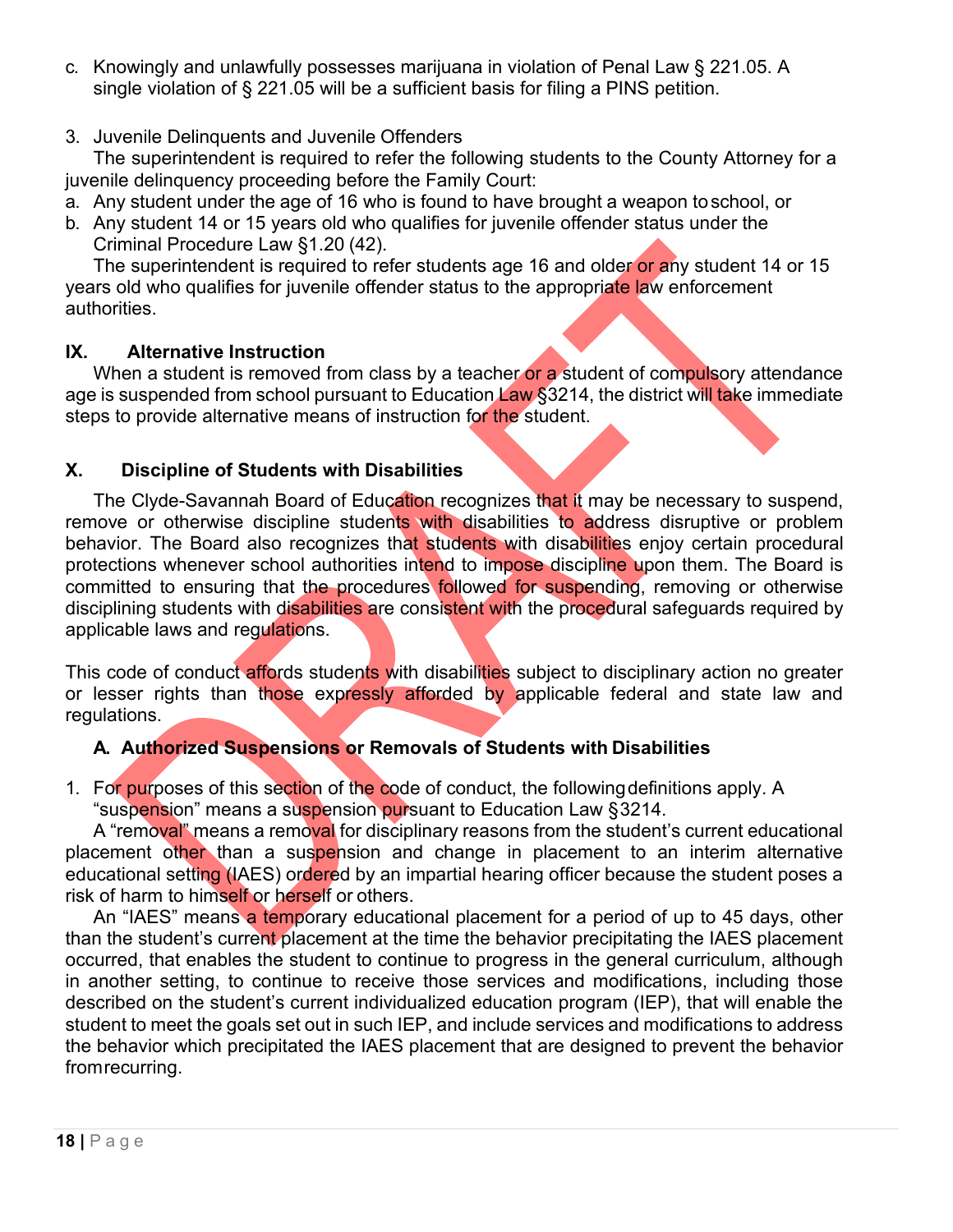- c. Knowingly and unlawfully possesses marijuana in violation of Penal Law § 221.05. A single violation of § 221.05 will be a sufficient basis for filing a PINS petition.
- 3. Juvenile Delinquents and Juvenile Offenders

The superintendent is required to refer the following students to the County Attorney for a juvenile delinquency proceeding before the Family Court:

- a. Any student under the age of 16 who is found to have brought a weapon toschool, or
- b. Any student 14 or 15 years old who qualifies for juvenile offender status under the Criminal Procedure Law §1.20 (42).

The superintendent is required to refer students age 16 and older or any student 14 or 15 years old who qualifies for juvenile offender status to the appropriate law enforcement authorities.

## **IX. Alternative Instruction**

When a student is removed from class by a teacher or a student of compulsory attendance age is suspended from school pursuant to Education Law §3214, the district will take immediate steps to provide alternative means of instruction for the student.

# **X. Discipline of Students with Disabilities**

The Clyde-Savannah Board of Education recognizes that it may be necessary to suspend, remove or otherwise discipline students with disabilities to address disruptive or problem behavior. The Board also recognizes that students with disabilities enjoy certain procedural protections whenever school authorities intend to impose discipline upon them. The Board is committed to ensuring that the procedures followed for suspending, removing or otherwise disciplining students with disabilities are consistent with the procedural safeguards required by applicable laws and regulations.

This code of conduct affords students with disabilities subject to disciplinary action no greater or lesser rights than those expressly afforded by applicable federal and state law and regulations.

# **A. Authorized Suspensions or Removals of Students with Disabilities**

1. For purposes of this section of the code of conduct, the following definitions apply. A "suspension" means a suspension pursuant to Education Law §3214.

A "removal" means a removal for disciplinary reasons from the student's current educational placement other than a suspension and change in placement to an interim alternative educational setting (IAES) ordered by an impartial hearing officer because the student poses a risk of harm to himself or herself or others.

An "IAES" means a temporary educational placement for a period of up to 45 days, other than the student's current placement at the time the behavior precipitating the IAES placement occurred, that enables the student to continue to progress in the general curriculum, although in another setting, to continue to receive those services and modifications, including those described on the student's current individualized education program (IEP), that will enable the student to meet the goals set out in such IEP, and include services and modifications to address the behavior which precipitated the IAES placement that are designed to prevent the behavior fromrecurring.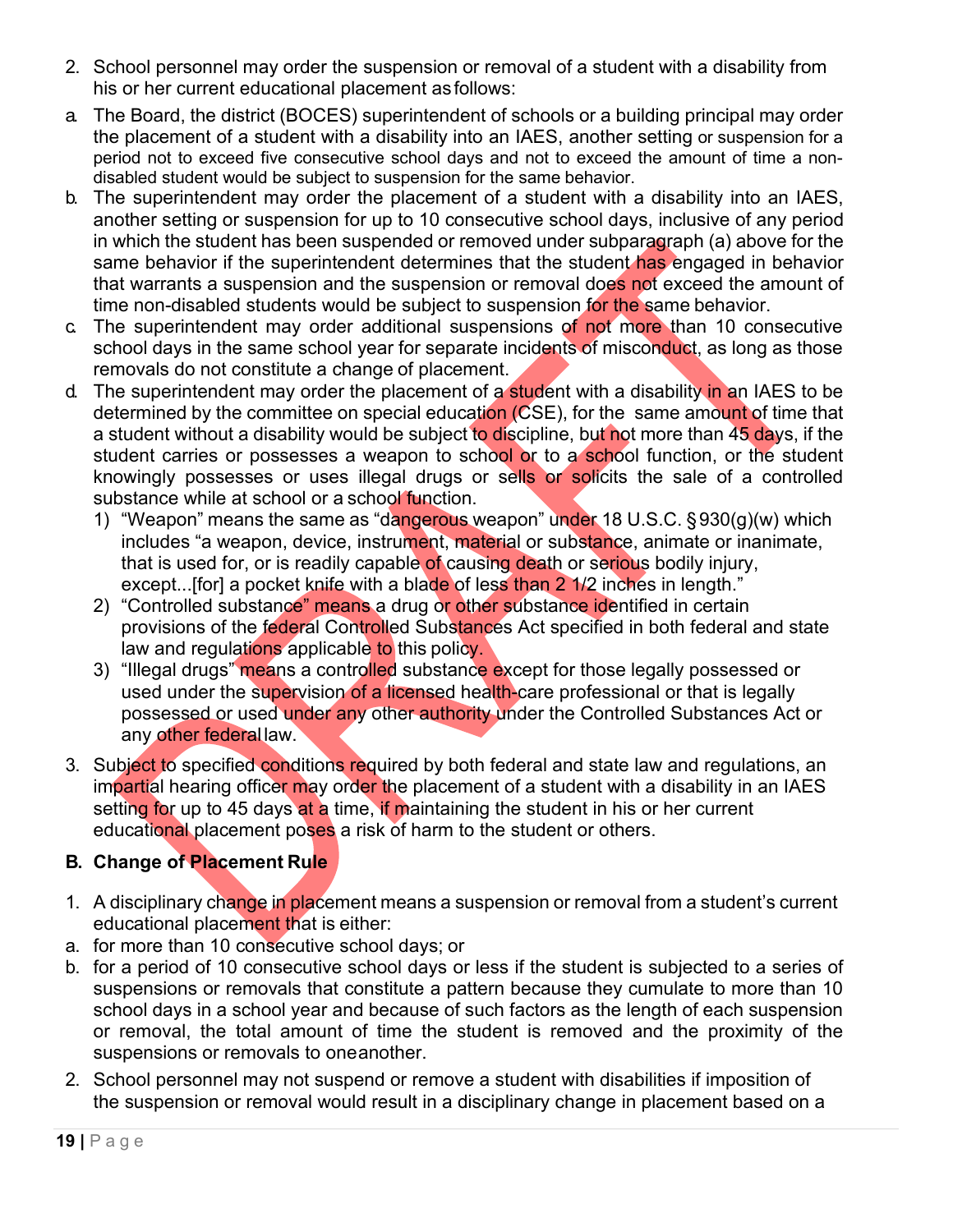- 2. School personnel may order the suspension or removal of a student with a disability from his or her current educational placement asfollows:
- a. The Board, the district (BOCES) superintendent of schools or a building principal may order the placement of a student with a disability into an IAES, another setting or suspension for a period not to exceed five consecutive school days and not to exceed the amount of time a nondisabled student would be subject to suspension for the same behavior.
- b. The superintendent may order the placement of a student with a disability into an IAES, another setting or suspension for up to 10 consecutive school days, inclusive of any period in which the student has been suspended or removed under subparagraph (a) above for the same behavior if the superintendent determines that the student has engaged in behavior that warrants a suspension and the suspension or removal does not exceed the amount of time non-disabled students would be subject to suspension for the same behavior.
- c. The superintendent may order additional suspensions of not more than 10 consecutive school days in the same school year for separate incidents of misconduct, as long as those removals do not constitute a change of placement.
- d. The superintendent may order the placement of a student with a disability in an IAES to be determined by the committee on special education (CSE), for the same amount of time that a student without a disability would be subject to discipline, but not more than 45 days, if the student carries or possesses a weapon to school or to a school function, or the student knowingly possesses or uses illegal drugs or sells or solicits the sale of a controlled substance while at school or a school function.
	- 1) "Weapon" means the same as "dangerous weapon" under 18 U.S.C. §930(g)(w) which includes "a weapon, device, instrument, material or substance, animate or inanimate, that is used for, or is readily capable of causing death or serious bodily injury, except...[for] a pocket knife with a blade of less than 2 1/2 inches in length."
	- 2) "Controlled substance" means a drug or other substance identified in certain provisions of the federal Controlled Substances Act specified in both federal and state law and regulations applicable to this policy.
	- 3) "Illegal drugs" means a controlled substance except for those legally possessed or used under the supervision of a licensed health-care professional or that is legally possessed or used under any other authority under the Controlled Substances Act or any other federal law.
- 3. Subject to specified conditions required by both federal and state law and regulations, an impartial hearing officer may order the placement of a student with a disability in an IAES setting for up to 45 days at a time, if maintaining the student in his or her current educational placement poses a risk of harm to the student or others.

# **B. Change of Placement Rule**

- 1. A disciplinary change in placement means a suspension or removal from a student's current educational placement that is either:
- a. for more than 10 consecutive school days; or
- b. for a period of 10 consecutive school days or less if the student is subjected to a series of suspensions or removals that constitute a pattern because they cumulate to more than 10 school days in a school year and because of such factors as the length of each suspension or removal, the total amount of time the student is removed and the proximity of the suspensions or removals to oneanother.
- 2. School personnel may not suspend or remove a student with disabilities if imposition of the suspension or removal would result in a disciplinary change in placement based on a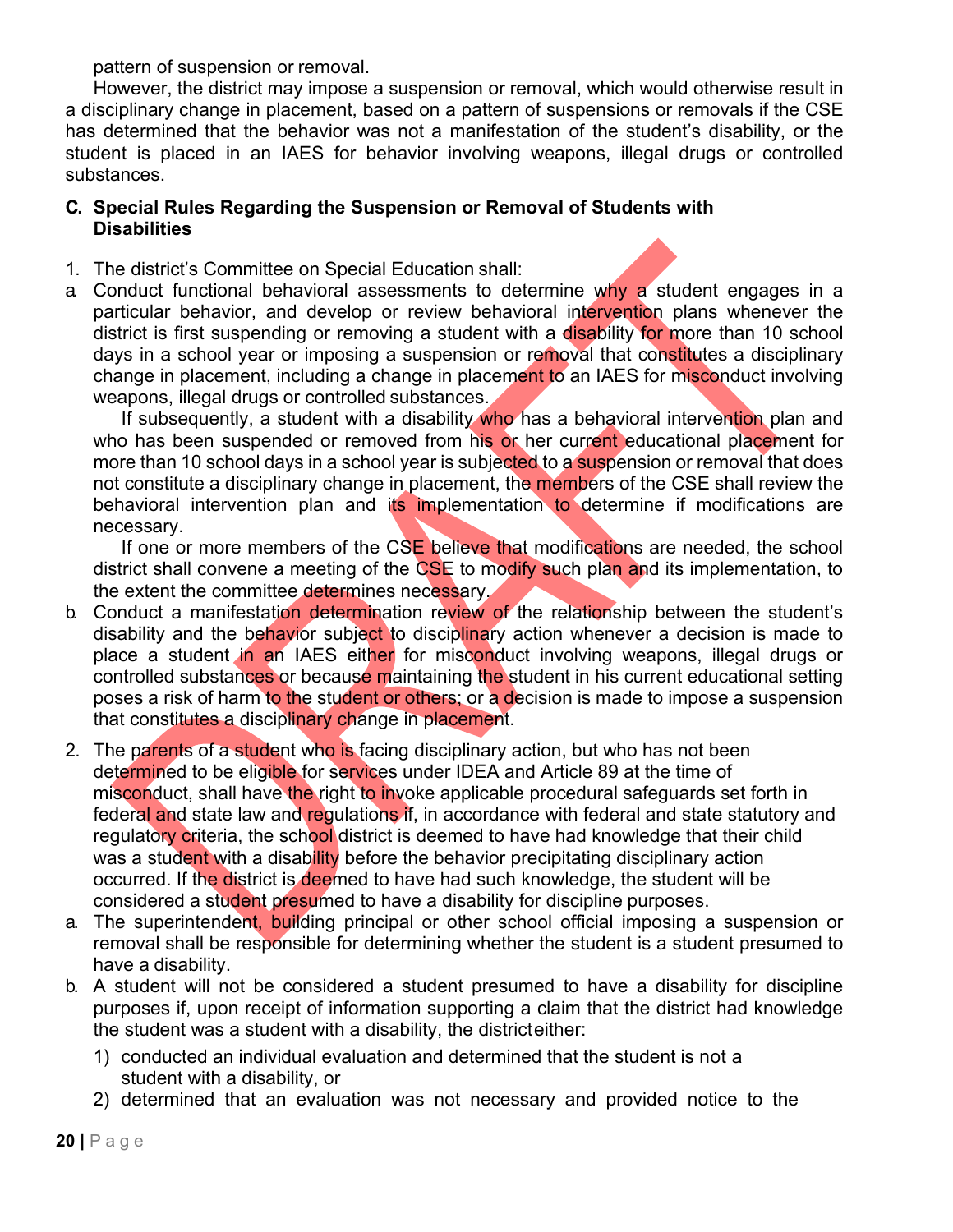pattern of suspension or removal.

However, the district may impose a suspension or removal, which would otherwise result in a disciplinary change in placement, based on a pattern of suspensions or removals if the CSE has determined that the behavior was not a manifestation of the student's disability, or the student is placed in an IAES for behavior involving weapons, illegal drugs or controlled substances.

#### **C. Special Rules Regarding the Suspension or Removal of Students with Disabilities**

- 1. The district's Committee on Special Education shall:
- a Conduct functional behavioral assessments to determine why a student engages in a particular behavior, and develop or review behavioral intervention plans whenever the district is first suspending or removing a student with a disability for more than 10 school days in a school year or imposing a suspension or removal that constitutes a disciplinary change in placement, including a change in placement to an IAES for misconduct involving weapons, illegal drugs or controlled substances.

If subsequently, a student with a disability who has a behavioral intervention plan and who has been suspended or removed from his or her current educational placement for more than 10 school days in a school year is subjected to a suspension or removal that does not constitute a disciplinary change in placement, the members of the CSE shall review the behavioral intervention plan and its implementation to determine if modifications are necessary.

If one or more members of the CSE believe that modifications are needed, the school district shall convene a meeting of the CSE to modify such plan and its implementation, to the extent the committee determines necessary.

- b. Conduct a manifestation determination review of the relationship between the student's disability and the behavior subject to disciplinary action whenever a decision is made to place a student in an IAES either for misconduct involving weapons, illegal drugs or controlled substances or because maintaining the student in his current educational setting poses a risk of harm to the student or others; or a decision is made to impose a suspension that constitutes a disciplinary change in placement.
- 2. The parents of a student who is facing disciplinary action, but who has not been determined to be eligible for services under IDEA and Article 89 at the time of misconduct, shall have the right to invoke applicable procedural safeguards set forth in federal and state law and regulations if, in accordance with federal and state statutory and regulatory criteria, the school district is deemed to have had knowledge that their child was a student with a disability before the behavior precipitating disciplinary action occurred. If the district is deemed to have had such knowledge, the student will be considered a student presumed to have a disability for discipline purposes.
- a. The superintendent, building principal or other school official imposing a suspension or removal shall be responsible for determining whether the student is a student presumed to have a disability.
- b. A student will not be considered a student presumed to have a disability for discipline purposes if, upon receipt of information supporting a claim that the district had knowledge the student was a student with a disability, the districteither:
	- 1) conducted an individual evaluation and determined that the student is not a student with a disability, or
	- 2) determined that an evaluation was not necessary and provided notice to the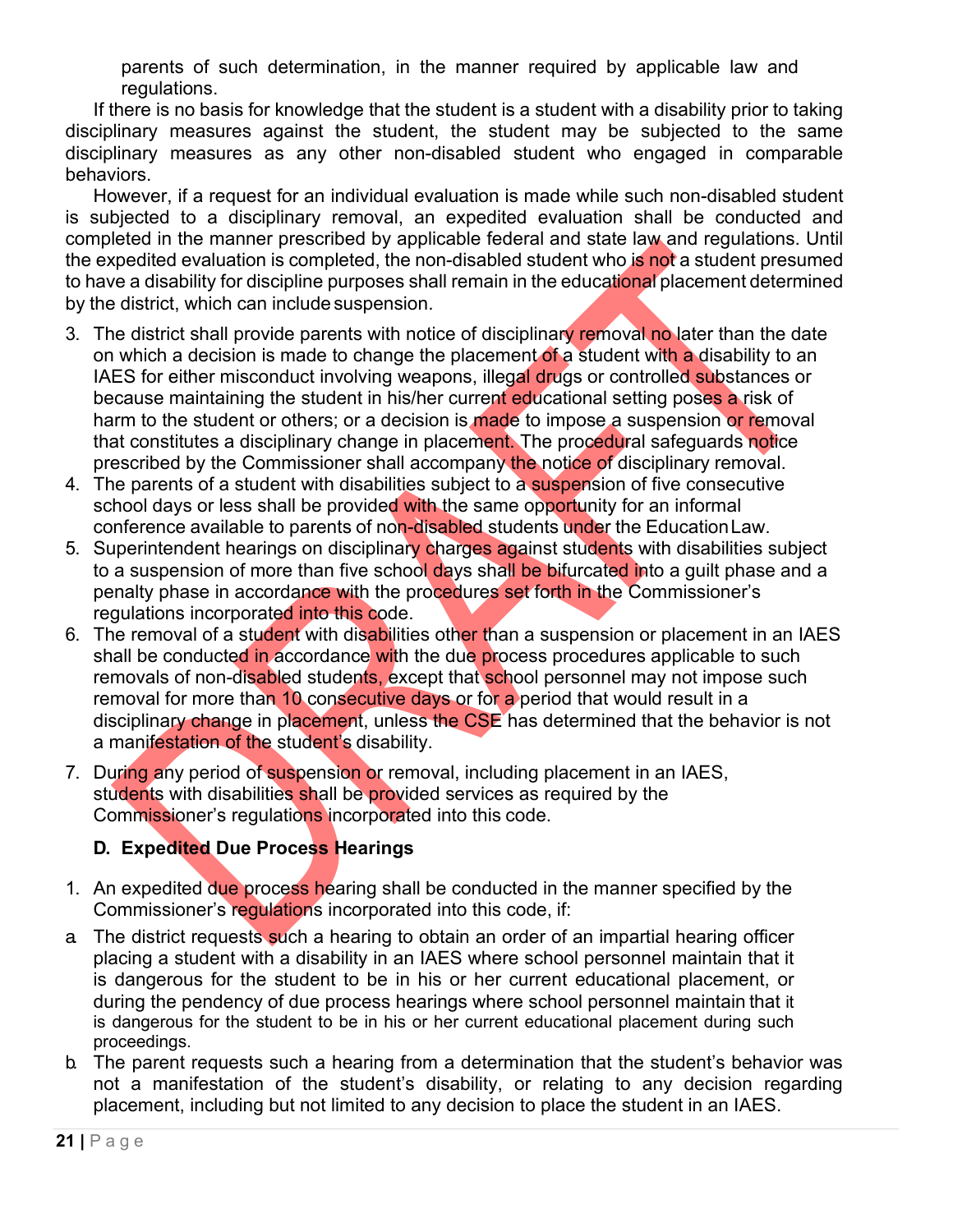parents of such determination, in the manner required by applicable law and regulations.

If there is no basis for knowledge that the student is a student with a disability prior to taking disciplinary measures against the student, the student may be subjected to the same disciplinary measures as any other non-disabled student who engaged in comparable behaviors.

However, if a request for an individual evaluation is made while such non-disabled student is subjected to a disciplinary removal, an expedited evaluation shall be conducted and completed in the manner prescribed by applicable federal and state law and regulations. Until the expedited evaluation is completed, the non-disabled student who is not a student presumed to have a disability for discipline purposes shall remain in the educational placement determined by the district, which can include suspension.

- 3. The district shall provide parents with notice of disciplinary removal no later than the date on which a decision is made to change the placement of a student with a disability to an IAES for either misconduct involving weapons, illegal drugs or controlled substances or because maintaining the student in his/her current educational setting poses a risk of harm to the student or others; or a decision is made to impose a suspension or removal that constitutes a disciplinary change in placement. The procedural safeguards notice prescribed by the Commissioner shall accompany the notice of disciplinary removal.
- 4. The parents of a student with disabilities subject to a suspension of five consecutive school days or less shall be provided with the same opportunity for an informal conference available to parents of non-disabled students under the EducationLaw.
- 5. Superintendent hearings on disciplinary charges against students with disabilities subject to a suspension of more than five school days shall be bifurcated into a guilt phase and a penalty phase in accordance with the procedures set forth in the Commissioner's regulations incorporated into this code.
- 6. The removal of a student with disabilities other than a suspension or placement in an IAES shall be conducted in accordance with the due process procedures applicable to such removals of non-disabled students, except that school personnel may not impose such removal for more than 10 consecutive days or for a period that would result in a disciplinary change in placement, unless the CSE has determined that the behavior is not a manifestation of the student's disability.
- 7. During any period of suspension or removal, including placement in an IAES, students with disabilities shall be provided services as required by the Commissioner's regulations incorporated into this code.

# **D. Expedited Due Process Hearings**

- 1. An expedited due process hearing shall be conducted in the manner specified by the Commissioner's regulations incorporated into this code, if:
- a The district requests such a hearing to obtain an order of an impartial hearing officer placing a student with a disability in an IAES where school personnel maintain that it is dangerous for the student to be in his or her current educational placement, or during the pendency of due process hearings where school personnel maintain that it is dangerous for the student to be in his or her current educational placement during such proceedings.
- b. The parent requests such a hearing from a determination that the student's behavior was not a manifestation of the student's disability, or relating to any decision regarding placement, including but not limited to any decision to place the student in an IAES.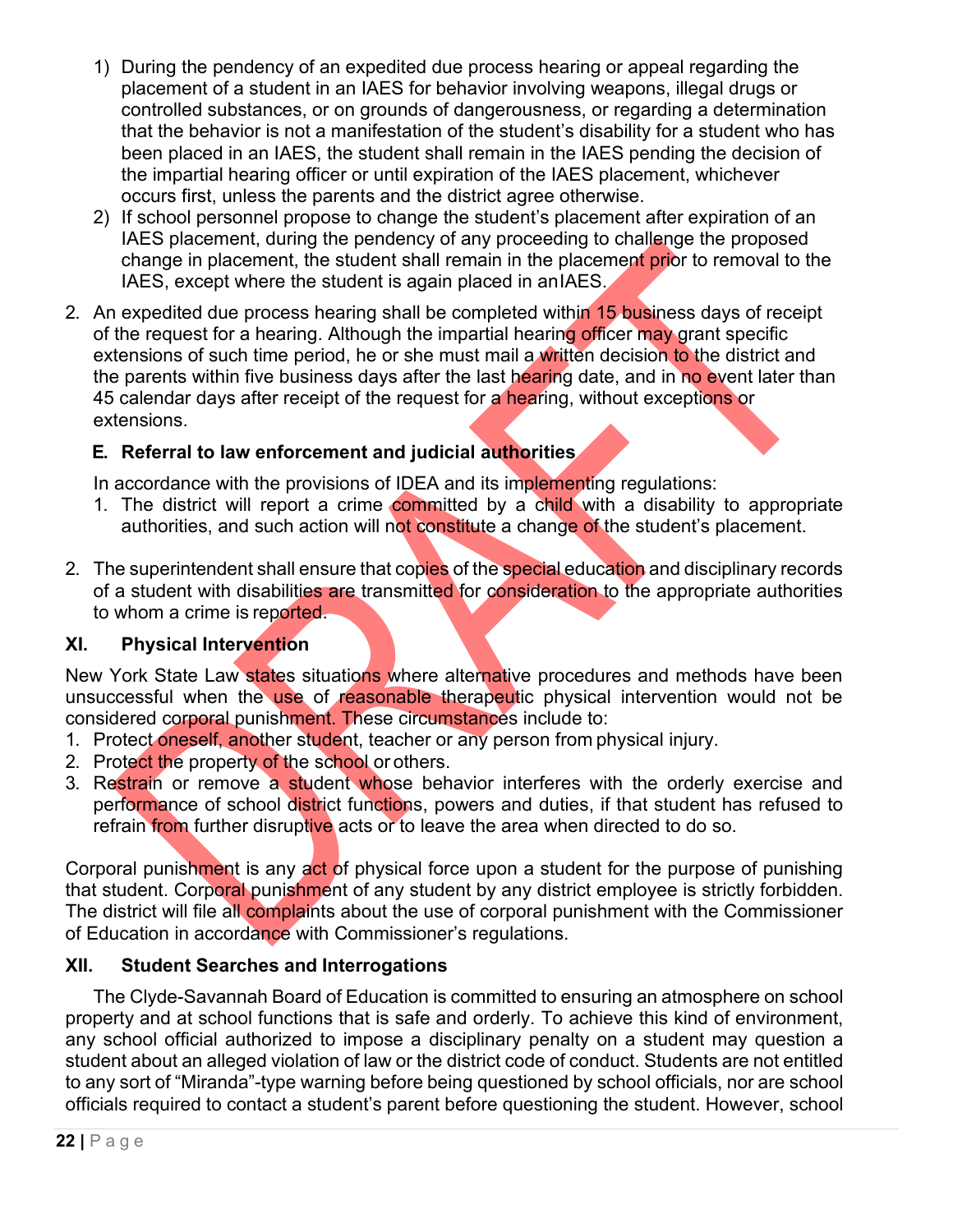- 1) During the pendency of an expedited due process hearing or appeal regarding the placement of a student in an IAES for behavior involving weapons, illegal drugs or controlled substances, or on grounds of dangerousness, or regarding a determination that the behavior is not a manifestation of the student's disability for a student who has been placed in an IAES, the student shall remain in the IAES pending the decision of the impartial hearing officer or until expiration of the IAES placement, whichever occurs first, unless the parents and the district agree otherwise.
- 2) If school personnel propose to change the student's placement after expiration of an IAES placement, during the pendency of any proceeding to challenge the proposed change in placement, the student shall remain in the placement prior to removal to the IAES, except where the student is again placed in anIAES.
- 2. An expedited due process hearing shall be completed within 15 business days of receipt of the request for a hearing. Although the impartial hearing officer may grant specific extensions of such time period, he or she must mail a written decision to the district and the parents within five business days after the last hearing date, and in no event later than 45 calendar days after receipt of the request for a hearing, without exceptions or extensions.

# **E. Referral to law enforcement and judicial authorities**

In accordance with the provisions of IDEA and its implementing regulations:

- 1. The district will report a crime committed by a child with a disability to appropriate authorities, and such action will not constitute a change of the student's placement.
- 2. The superintendent shall ensure that copies of the special education and disciplinary records of a student with disabilities are transmitted for consideration to the appropriate authorities to whom a crime is reported.

## **XI. Physical Intervention**

New York State Law states situations where alternative procedures and methods have been unsuccessful when the use of reasonable therapeutic physical intervention would not be considered corporal punishment. These circumstances include to:

- 1. Protect oneself, another student, teacher or any person from physical injury.
- 2. Protect the property of the school or others.
- 3. Restrain or remove a student whose behavior interferes with the orderly exercise and performance of school district functions, powers and duties, if that student has refused to refrain from further disruptive acts or to leave the area when directed to do so.

Corporal punishment is any act of physical force upon a student for the purpose of punishing that student. Corporal punishment of any student by any district employee is strictly forbidden. The district will file all complaints about the use of corporal punishment with the Commissioner of Education in accordance with Commissioner's regulations.

## **XII. Student Searches and Interrogations**

The Clyde-Savannah Board of Education is committed to ensuring an atmosphere on school property and at school functions that is safe and orderly. To achieve this kind of environment, any school official authorized to impose a disciplinary penalty on a student may question a student about an alleged violation of law or the district code of conduct. Students are not entitled to any sort of "Miranda"-type warning before being questioned by school officials, nor are school officials required to contact a student's parent before questioning the student. However, school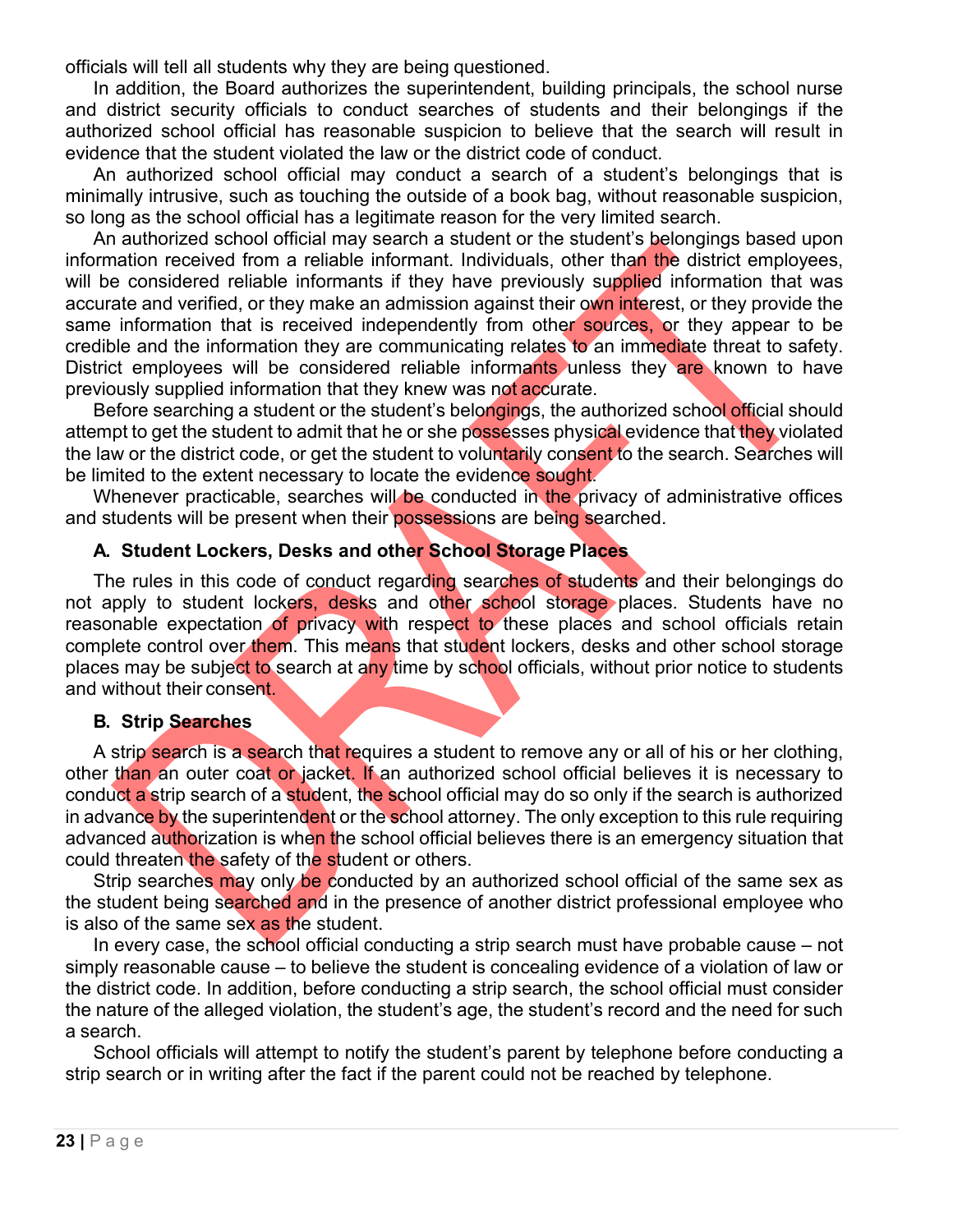officials will tell all students why they are being questioned.

In addition, the Board authorizes the superintendent, building principals, the school nurse and district security officials to conduct searches of students and their belongings if the authorized school official has reasonable suspicion to believe that the search will result in evidence that the student violated the law or the district code of conduct.

An authorized school official may conduct a search of a student's belongings that is minimally intrusive, such as touching the outside of a book bag, without reasonable suspicion, so long as the school official has a legitimate reason for the very limited search.

An authorized school official may search a student or the student's belongings based upon information received from a reliable informant. Individuals, other than the district employees, will be considered reliable informants if they have previously supplied information that was accurate and verified, or they make an admission against their own interest, or they provide the same information that is received independently from other sources, or they appear to be credible and the information they are communicating relates to an immediate threat to safety. District employees will be considered reliable informants unless they are known to have previously supplied information that they knew was not accurate.

Before searching a student or the student's belongings, the authorized school official should attempt to get the student to admit that he or she possesses physical evidence that they violated the law or the district code, or get the student to voluntarily consent to the search. Searches will be limited to the extent necessary to locate the evidence sought.

Whenever practicable, searches will be conducted in the privacy of administrative offices and students will be present when their possessions are being searched.

#### **A. Student Lockers, Desks and other School Storage Places**

The rules in this code of conduct regarding searches of students and their belongings do not apply to student lockers, desks and other school storage places. Students have no reasonable expectation of privacy with respect to these places and school officials retain complete control over them. This means that student lockers, desks and other school storage places may be subject to search at any time by school officials, without prior notice to students and without their consent.

#### **B. Strip Searches**

A strip search is a search that requires a student to remove any or all of his or her clothing, other than an outer coat or jacket. If an authorized school official believes it is necessary to conduct a strip search of a student, the school official may do so only if the search is authorized in advance by the superintendent or the school attorney. The only exception to this rule requiring advanced authorization is when the school official believes there is an emergency situation that could threaten the safety of the student or others.

Strip searches may only be conducted by an authorized school official of the same sex as the student being searched and in the presence of another district professional employee who is also of the same sex as the student.

In every case, the school official conducting a strip search must have probable cause – not simply reasonable cause – to believe the student is concealing evidence of a violation of law or the district code. In addition, before conducting a strip search, the school official must consider the nature of the alleged violation, the student's age, the student's record and the need for such a search.

School officials will attempt to notify the student's parent by telephone before conducting a strip search or in writing after the fact if the parent could not be reached by telephone.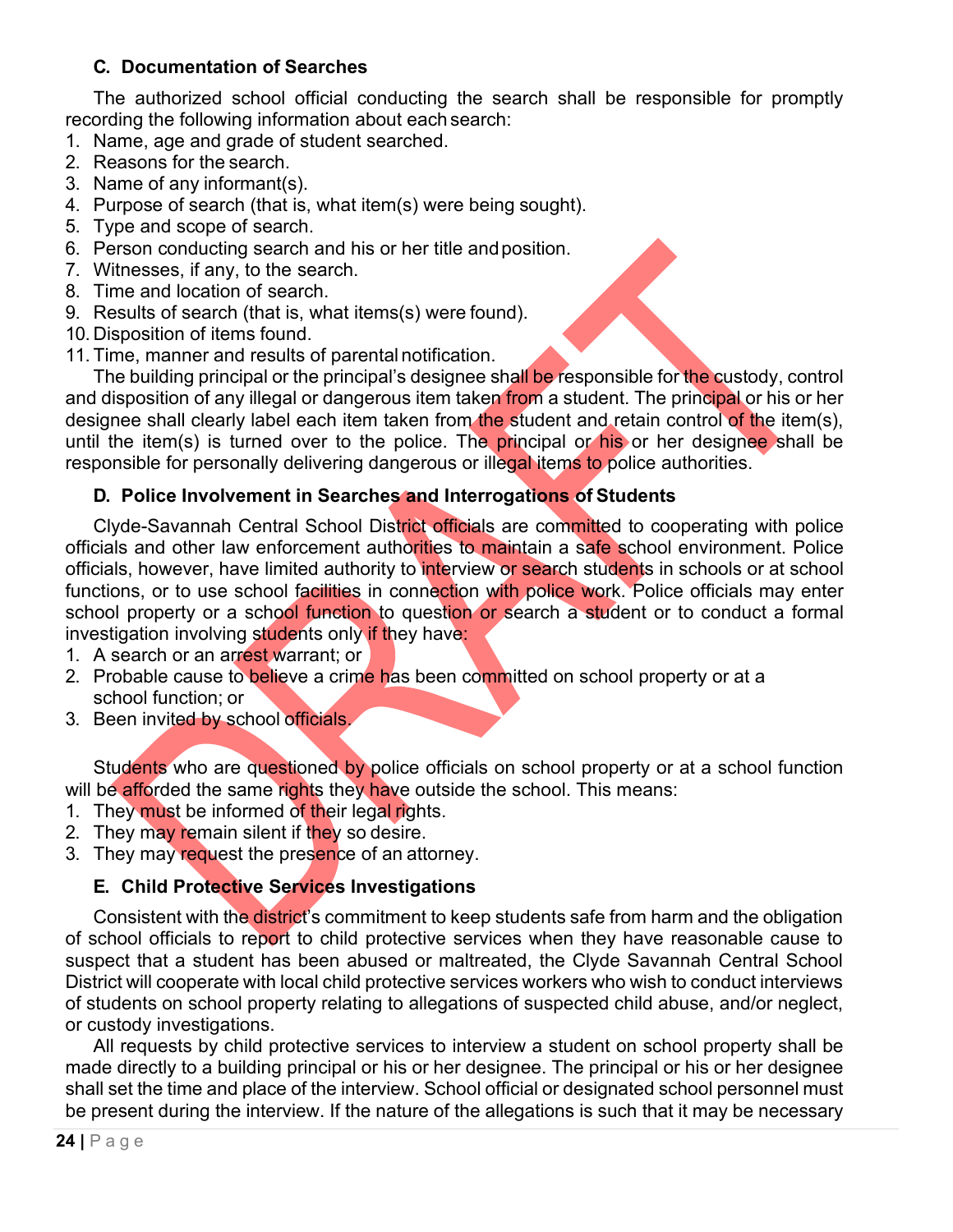## **C. Documentation of Searches**

The authorized school official conducting the search shall be responsible for promptly recording the following information about each search:

- 1. Name, age and grade of student searched.
- 2. Reasons for the search.
- 3. Name of any informant(s).
- 4. Purpose of search (that is, what item(s) were being sought).
- 5. Type and scope of search.
- 6. Person conducting search and his or her title andposition.
- 7. Witnesses, if any, to the search.
- 8. Time and location of search.
- 9. Results of search (that is, what items(s) were found).
- 10. Disposition of items found.
- 11. Time, manner and results of parental notification.

The building principal or the principal's designee shall be responsible for the custody, control and disposition of any illegal or dangerous item taken from a student. The principal or his or her designee shall clearly label each item taken from the student and retain control of the item(s), until the item(s) is turned over to the police. The principal or his or her designee shall be responsible for personally delivering dangerous or illegal items to police authorities.

## **D. Police Involvement in Searches and Interrogations of Students**

Clyde-Savannah Central School District officials are committed to cooperating with police officials and other law enforcement authorities to maintain a safe school environment. Police officials, however, have limited authority to interview or search students in schools or at school functions, or to use school facilities in connection with police work. Police officials may enter school property or a school function to question or search a student or to conduct a formal investigation involving students only if they have:

- 1. A search or an arrest warrant; or
- 2. Probable cause to believe a crime has been committed on school property or at a school function; or
- 3. Been invited by school officials.

Students who are questioned by police officials on school property or at a school function will be afforded the same rights they have outside the school. This means:

- 1. They must be informed of their legal rights.
- 2. They may remain silent if they so desire.
- 3. They may request the presence of an attorney.

# **E. Child Protective Services Investigations**

Consistent with the district's commitment to keep students safe from harm and the obligation of school officials to report to child protective services when they have reasonable cause to suspect that a student has been abused or maltreated, the Clyde Savannah Central School District will cooperate with local child protective services workers who wish to conduct interviews of students on school property relating to allegations of suspected child abuse, and/or neglect, or custody investigations.

All requests by child protective services to interview a student on school property shall be made directly to a building principal or his or her designee. The principal or his or her designee shall set the time and place of the interview. School official or designated school personnel must be present during the interview. If the nature of the allegations is such that it may be necessary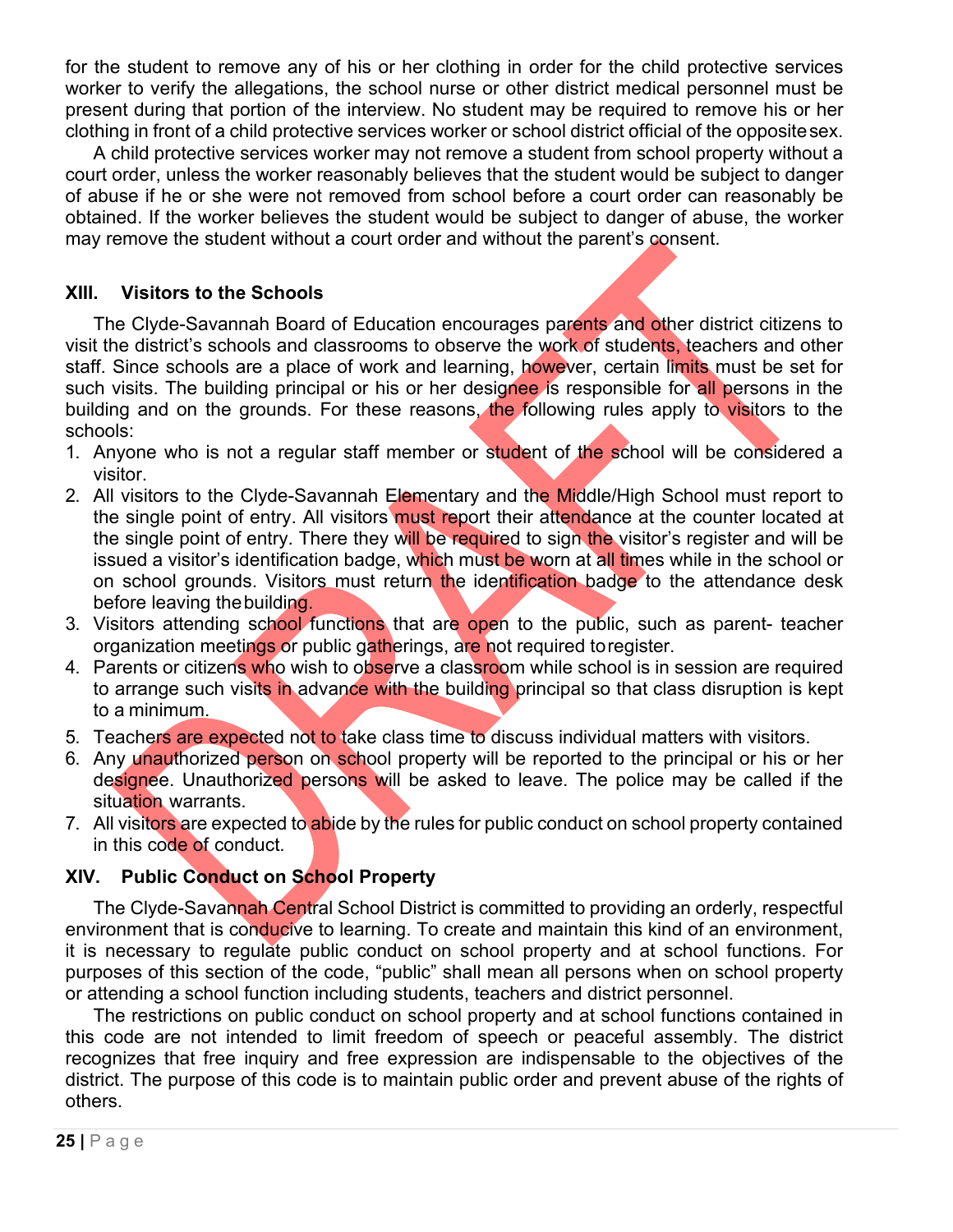for the student to remove any of his or her clothing in order for the child protective services worker to verify the allegations, the school nurse or other district medical personnel must be present during that portion of the interview. No student may be required to remove his or her clothing in front of a child protective services worker or school district official of the oppositesex.

A child protective services worker may not remove a student from school property without a court order, unless the worker reasonably believes that the student would be subject to danger of abuse if he or she were not removed from school before a court order can reasonably be obtained. If the worker believes the student would be subject to danger of abuse, the worker may remove the student without a court order and without the parent's consent.

## **XIII. Visitors to the Schools**

The Clyde-Savannah Board of Education encourages parents and other district citizens to visit the district's schools and classrooms to observe the work of students, teachers and other staff. Since schools are a place of work and learning, however, certain limits must be set for such visits. The building principal or his or her designee is responsible for all persons in the building and on the grounds. For these reasons, the following rules apply to visitors to the schools:

- 1. Anyone who is not a regular staff member or student of the school will be considered a visitor.
- 2. All visitors to the Clyde-Savannah Elementary and the Middle/High School must report to the single point of entry. All visitors must report their attendance at the counter located at the single point of entry. There they will be required to sign the visitor's register and will be issued a visitor's identification badge, which must be worn at all times while in the school or on school grounds. Visitors must return the identification badge to the attendance desk before leaving thebuilding.
- 3. Visitors attending school functions that are open to the public, such as parent- teacher organization meetings or public gatherings, are not required toregister.
- 4. Parents or citizens who wish to observe a classroom while school is in session are required to arrange such visits in advance with the building principal so that class disruption is kept to a minimum.
- 5. Teachers are expected not to take class time to discuss individual matters with visitors.
- 6. Any unauthorized person on school property will be reported to the principal or his or her designee. Unauthorized persons will be asked to leave. The police may be called if the situation warrants.
- 7. All visitors are expected to abide by the rules for public conduct on school property contained in this code of conduct.

## **XIV. Public Conduct on School Property**

The Clyde-Savannah Central School District is committed to providing an orderly, respectful environment that is conducive to learning. To create and maintain this kind of an environment, it is necessary to regulate public conduct on school property and at school functions. For purposes of this section of the code, "public" shall mean all persons when on school property or attending a school function including students, teachers and district personnel.

The restrictions on public conduct on school property and at school functions contained in this code are not intended to limit freedom of speech or peaceful assembly. The district recognizes that free inquiry and free expression are indispensable to the objectives of the district. The purpose of this code is to maintain public order and prevent abuse of the rights of others.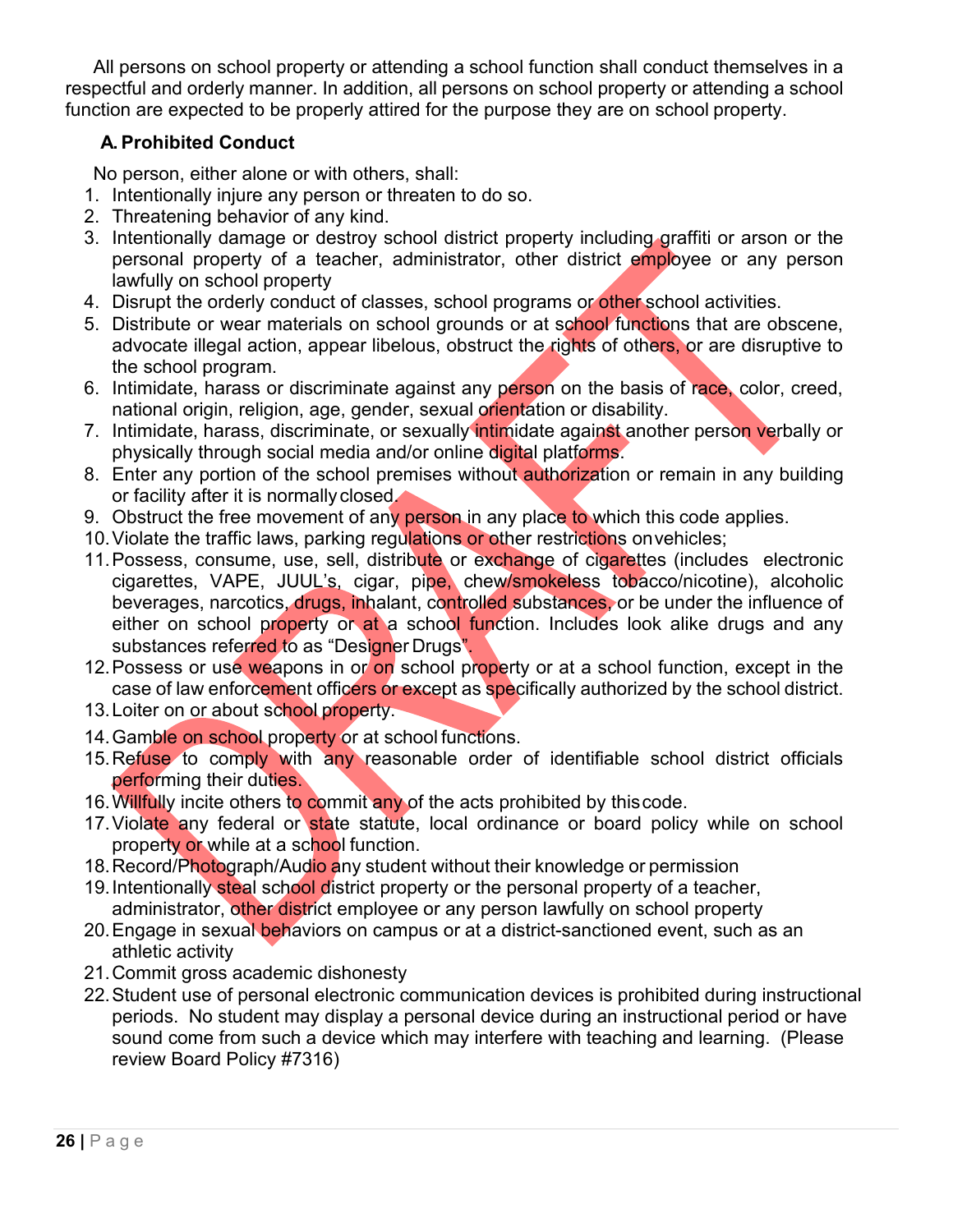All persons on school property or attending a school function shall conduct themselves in a respectful and orderly manner. In addition, all persons on school property or attending a school function are expected to be properly attired for the purpose they are on school property.

## **A. Prohibited Conduct**

No person, either alone or with others, shall:

- 1. Intentionally injure any person or threaten to do so.
- 2. Threatening behavior of any kind.
- 3. Intentionally damage or destroy school district property including graffiti or arson or the personal property of a teacher, administrator, other district employee or any person lawfully on school property
- 4. Disrupt the orderly conduct of classes, school programs or other school activities.
- 5. Distribute or wear materials on school grounds or at school functions that are obscene, advocate illegal action, appear libelous, obstruct the rights of others, or are disruptive to the school program.
- 6. Intimidate, harass or discriminate against any person on the basis of race, color, creed, national origin, religion, age, gender, sexual orientation or disability.
- 7. Intimidate, harass, discriminate, or sexually intimidate against another person verbally or physically through social media and/or online digital platforms.
- 8. Enter any portion of the school premises without authorization or remain in any building or facility after it is normally closed.
- 9. Obstruct the free movement of any person in any place to which this code applies.
- 10. Violate the traffic laws, parking regulations or other restrictions on vehicles;
- 11. Possess, consume, use, sell, distribute or exchange of cigarettes (includes electronic cigarettes, VAPE, JUUL's, cigar, pipe, chew/smokeless tobacco/nicotine), alcoholic beverages, narcotics, drugs, inhalant, controlled substances, or be under the influence of either on school property or at a school function. Includes look alike drugs and any substances referred to as "Designer Drugs".
- 12. Possess or use weapons in or on school property or at a school function, except in the case of law enforcement officers or except as specifically authorized by the school district.
- 13. Loiter on or about school property.
- 14. Gamble on school property or at school functions.
- 15. Refuse to comply with any reasonable order of identifiable school district officials performing their duties.
- 16. Willfully incite others to commit any of the acts prohibited by thiscode.
- 17. Violate any federal or state statute, local ordinance or board policy while on school property or while at a school function.
- 18. Record/Photograph/Audio any student without their knowledge or permission
- 19. Intentionally steal school district property or the personal property of a teacher, administrator, other district employee or any person lawfully on school property
- 20. Engage in sexual behaviors on campus or at a district-sanctioned event, such as an athletic activity
- 21.Commit gross academic dishonesty
- 22.Student use of personal electronic communication devices is prohibited during instructional periods. No student may display a personal device during an instructional period or have sound come from such a device which may interfere with teaching and learning. (Please review Board Policy #7316)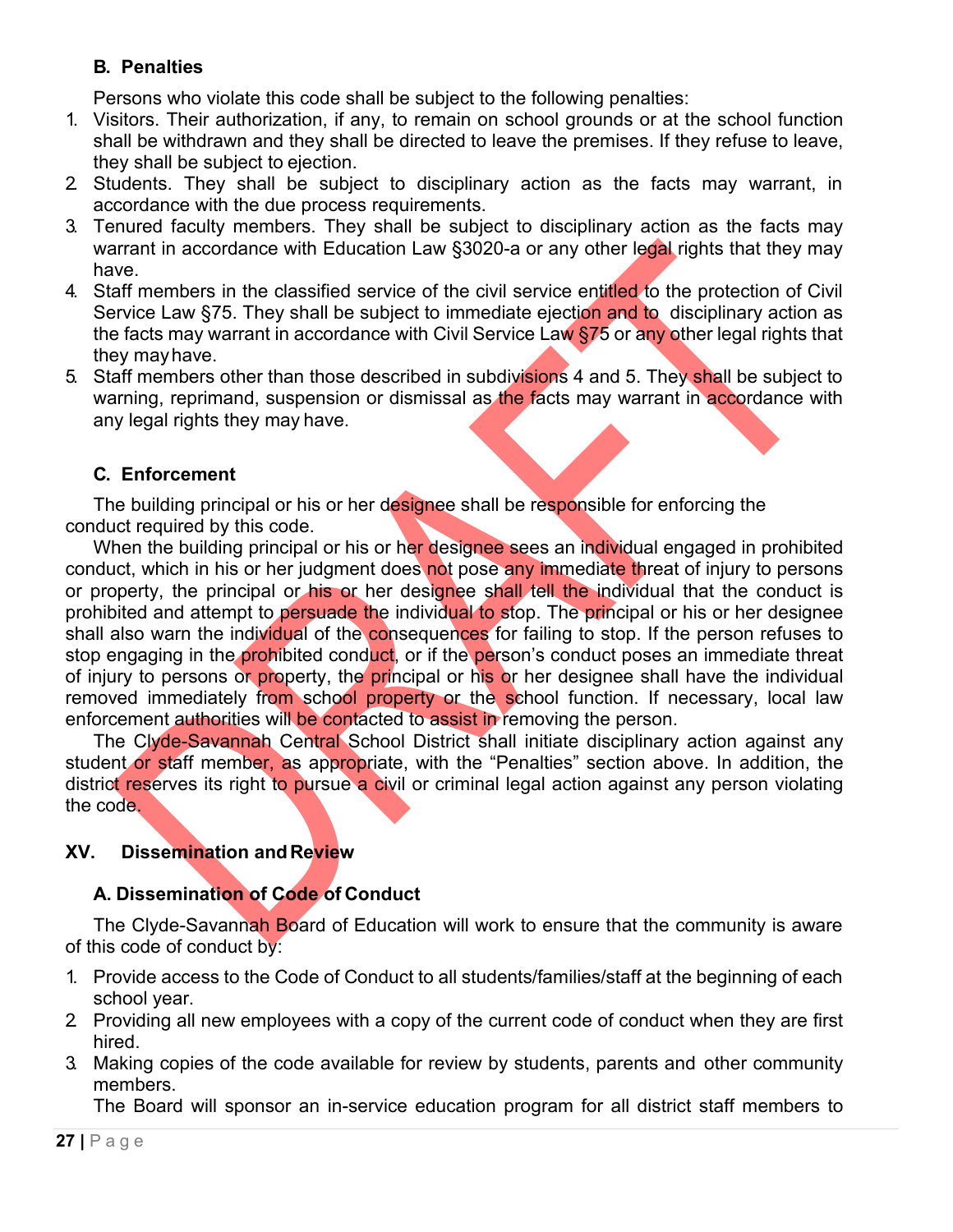# **B. Penalties**

Persons who violate this code shall be subject to the following penalties:

- 1. Visitors. Their authorization, if any, to remain on school grounds or at the school function shall be withdrawn and they shall be directed to leave the premises. If they refuse to leave, they shall be subject to ejection.
- 2. Students. They shall be subject to disciplinary action as the facts may warrant, in accordance with the due process requirements.
- 3. Tenured faculty members. They shall be subject to disciplinary action as the facts may warrant in accordance with Education Law §3020-a or any other legal rights that they may have.
- 4. Staff members in the classified service of the civil service entitled to the protection of Civil Service Law §75. They shall be subject to immediate ejection and to disciplinary action as the facts may warrant in accordance with Civil Service Law \$75 or any other legal rights that they mayhave.
- 5. Staff members other than those described in subdivisions 4 and 5. They shall be subject to warning, reprimand, suspension or dismissal as the facts may warrant in accordance with any legal rights they may have.

# **C. Enforcement**

The building principal or his or her designee shall be responsible for enforcing the conduct required by this code.

When the building principal or his or her designee sees an individual engaged in prohibited conduct, which in his or her judgment does not pose any immediate threat of injury to persons or property, the principal or his or her designee shall tell the individual that the conduct is prohibited and attempt to persuade the individual to stop. The principal or his or her designee shall also warn the individual of the consequences for failing to stop. If the person refuses to stop engaging in the prohibited conduct, or if the person's conduct poses an immediate threat of injury to persons or property, the principal or his or her designee shall have the individual removed immediately from school property or the school function. If necessary, local law enforcement authorities will be contacted to assist in removing the person.

The Clyde-Savannah Central School District shall initiate disciplinary action against any student or staff member, as appropriate, with the "Penalties" section above. In addition, the district reserves its right to pursue a civil or criminal legal action against any person violating the code.

# **XV. Dissemination andReview**

## **A. Dissemination of Code of Conduct**

The Clyde-Savannah Board of Education will work to ensure that the community is aware of this code of conduct by:

- 1. Provide access to the Code of Conduct to all students/families/staff at the beginning of each school year.
- 2. Providing all new employees with a copy of the current code of conduct when they are first hired.
- 3. Making copies of the code available for review by students, parents and other community members.

The Board will sponsor an in-service education program for all district staff members to